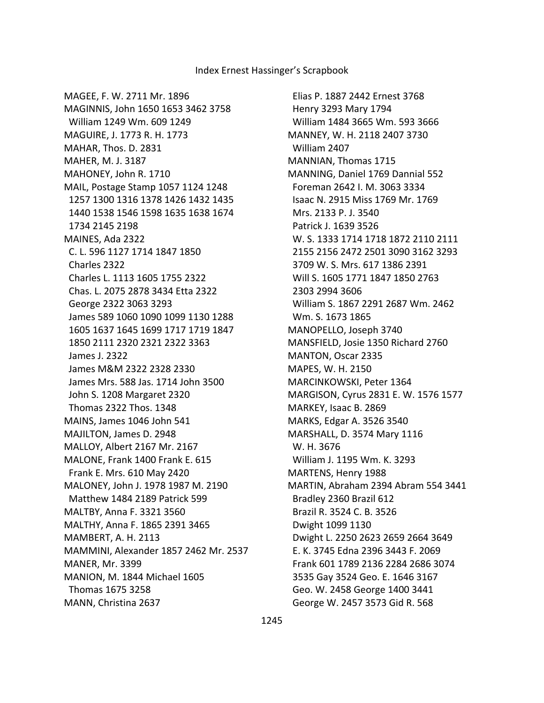MAGEE, F. W. 2711 Mr. 1896 MAGINNIS, John 1650 1653 3462 3758 William 1249 Wm. 609 1249 MAGUIRE, J. 1773 R. H. 1773 MAHAR, Thos. D. 2831 MAHER, M. J. 3187 MAHONEY, John R. 1710 MAIL, Postage Stamp 1057 1124 1248 1257 1300 1316 1378 1426 1432 1435 1440 1538 1546 1598 1635 1638 1674 1734 2145 2198 MAINES, Ada 2322 C. L. 596 1127 1714 1847 1850 Charles 2322 Charles L. 1113 1605 1755 2322 Chas. L. 2075 2878 3434 Etta 2322 George 2322 3063 3293 James 589 1060 1090 1099 1130 1288 1605 1637 1645 1699 1717 1719 1847 1850 2111 2320 2321 2322 3363 James J. 2322 James M&M 2322 2328 2330 James Mrs. 588 Jas. 1714 John 3500 John S. 1208 Margaret 2320 Thomas 2322 Thos. 1348 MAINS, James 1046 John 541 MAJILTON, James D. 2948 MALLOY, Albert 2167 Mr. 2167 MALONE, Frank 1400 Frank E. 615 Frank E. Mrs. 610 May 2420 MALONEY, John J. 1978 1987 M. 2190 Matthew 1484 2189 Patrick 599 MALTBY, Anna F. 3321 3560 MALTHY, Anna F. 1865 2391 3465 MAMBERT, A. H. 2113 MAMMINI, Alexander 1857 2462 Mr. 2537 MANER, Mr. 3399 MANION, M. 1844 Michael 1605 Thomas 1675 3258 MANN, Christina 2637

 Elias P. 1887 2442 Ernest 3768 Henry 3293 Mary 1794 William 1484 3665 Wm. 593 3666 MANNEY, W. H. 2118 2407 3730 William 2407 MANNIAN, Thomas 1715 MANNING, Daniel 1769 Dannial 552 Foreman 2642 I. M. 3063 3334 Isaac N. 2915 Miss 1769 Mr. 1769 Mrs. 2133 P. J. 3540 Patrick J. 1639 3526 W. S. 1333 1714 1718 1872 2110 2111 2155 2156 2472 2501 3090 3162 3293 3709 W. S. Mrs. 617 1386 2391 Will S. 1605 1771 1847 1850 2763 2303 2994 3606 William S. 1867 2291 2687 Wm. 2462 Wm. S. 1673 1865 MANOPELLO, Joseph 3740 MANSFIELD, Josie 1350 Richard 2760 MANTON, Oscar 2335 MAPES, W. H. 2150 MARCINKOWSKI, Peter 1364 MARGISON, Cyrus 2831 E. W. 1576 1577 MARKEY, Isaac B. 2869 MARKS, Edgar A. 3526 3540 MARSHALL, D. 3574 Mary 1116 W. H. 3676 William J. 1195 Wm. K. 3293 MARTENS, Henry 1988 MARTIN, Abraham 2394 Abram 554 3441 Bradley 2360 Brazil 612 Brazil R. 3524 C. B. 3526 Dwight 1099 1130 Dwight L. 2250 2623 2659 2664 3649 E. K. 3745 Edna 2396 3443 F. 2069 Frank 601 1789 2136 2284 2686 3074 3535 Gay 3524 Geo. E. 1646 3167 Geo. W. 2458 George 1400 3441 George W. 2457 3573 Gid R. 568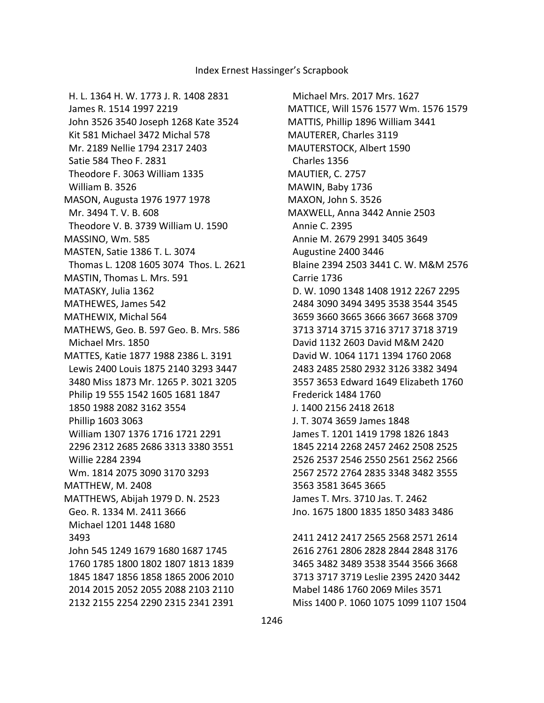2411 2412 2417 2565 2568 2571 2614 2616 2761 2806 2828 2844 2848 3176 3465 3482 3489 3538 3544 3566 3668 3713 3717 3719 Leslie 2395 2420 3442 Mabel 1486 1760 2069 Miles 3571 Miss 1400 P. 1060 1075 1099 1107 1504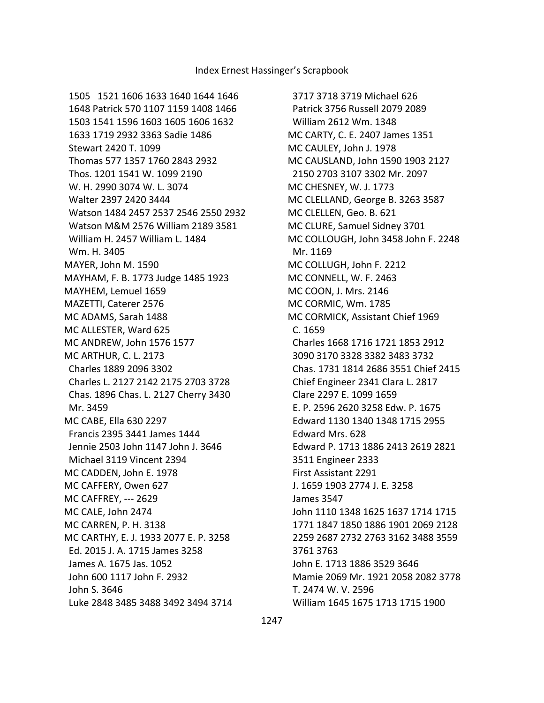1505 1521 1606 1633 1640 1644 1646 1648 Patrick 570 1107 1159 1408 1466 1503 1541 1596 1603 1605 1606 1632 1633 1719 2932 3363 Sadie 1486 Stewart 2420 T. 1099 Thomas 577 1357 1760 2843 2932 Thos. 1201 1541 W. 1099 2190 W. H. 2990 3074 W. L. 3074 Walter 2397 2420 3444 Watson 1484 2457 2537 2546 2550 2932 Watson M&M 2576 William 2189 3581 William H. 2457 William L. 1484 Wm. H. 3405 MAYER, John M. 1590 MAYHAM, F. B. 1773 Judge 1485 1923 MAYHEM, Lemuel 1659 MAZETTI, Caterer 2576 MC ADAMS, Sarah 1488 MC ALLESTER, Ward 625 MC ANDREW, John 1576 1577 MC ARTHUR, C. L. 2173 Charles 1889 2096 3302 Charles L. 2127 2142 2175 2703 3728 Chas. 1896 Chas. L. 2127 Cherry 3430 Mr. 3459 MC CABE, Ella 630 2297 Francis 2395 3441 James 1444 Jennie 2503 John 1147 John J. 3646 Michael 3119 Vincent 2394 MC CADDEN, John E. 1978 MC CAFFERY, Owen 627 MC CAFFREY, --- 2629 MC CALE, John 2474 MC CARREN, P. H. 3138 MC CARTHY, E. J. 1933 2077 E. P. 3258 Ed. 2015 J. A. 1715 James 3258 James A. 1675 Jas. 1052 John 600 1117 John F. 2932 John S. 3646 Luke 2848 3485 3488 3492 3494 3714

 3717 3718 3719 Michael 626 Patrick 3756 Russell 2079 2089 William 2612 Wm. 1348 MC CARTY, C. E. 2407 James 1351 MC CAULEY, John J. 1978 MC CAUSLAND, John 1590 1903 2127 2150 2703 3107 3302 Mr. 2097 MC CHESNEY, W. J. 1773 MC CLELLAND, George B. 3263 3587 MC CLELLEN, Geo. B. 621 MC CLURE, Samuel Sidney 3701 MC COLLOUGH, John 3458 John F. 2248 Mr. 1169 MC COLLUGH, John F. 2212 MC CONNELL, W. F. 2463 MC COON, J. Mrs. 2146 MC CORMIC, Wm. 1785 MC CORMICK, Assistant Chief 1969 C. 1659 Charles 1668 1716 1721 1853 2912 3090 3170 3328 3382 3483 3732 Chas. 1731 1814 2686 3551 Chief 2415 Chief Engineer 2341 Clara L. 2817 Clare 2297 E. 1099 1659 E. P. 2596 2620 3258 Edw. P. 1675 Edward 1130 1340 1348 1715 2955 Edward Mrs. 628 Edward P. 1713 1886 2413 2619 2821 3511 Engineer 2333 First Assistant 2291 J. 1659 1903 2774 J. E. 3258 James 3547 John 1110 1348 1625 1637 1714 1715 1771 1847 1850 1886 1901 2069 2128 2259 2687 2732 2763 3162 3488 3559 3761 3763 John E. 1713 1886 3529 3646 Mamie 2069 Mr. 1921 2058 2082 3778 T. 2474 W. V. 2596 William 1645 1675 1713 1715 1900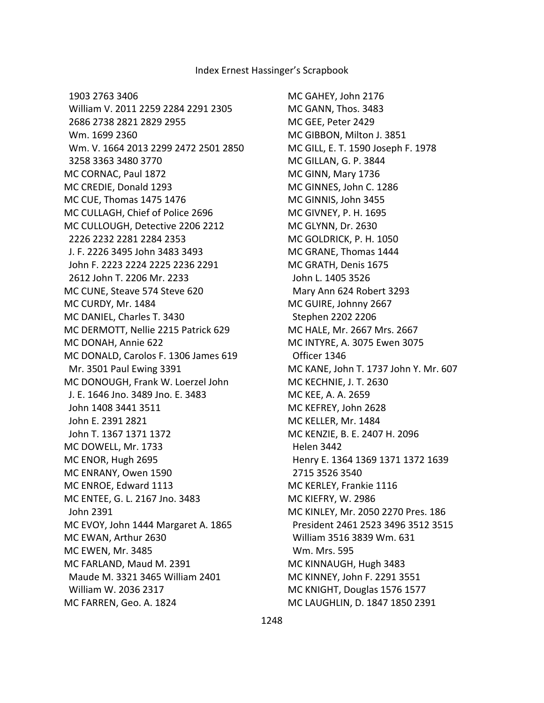1903 2763 3406 William V. 2011 2259 2284 2291 2305 2686 2738 2821 2829 2955 Wm. 1699 2360 Wm. V. 1664 2013 2299 2472 2501 2850 3258 3363 3480 3770 MC CORNAC, Paul 1872 MC CREDIE, Donald 1293 MC CUE, Thomas 1475 1476 MC CULLAGH, Chief of Police 2696 MC CULLOUGH, Detective 2206 2212 2226 2232 2281 2284 2353 J. F. 2226 3495 John 3483 3493 John F. 2223 2224 2225 2236 2291 2612 John T. 2206 Mr. 2233 MC CUNE, Steave 574 Steve 620 MC CURDY, Mr. 1484 MC DANIEL, Charles T. 3430 MC DERMOTT, Nellie 2215 Patrick 629 MC DONAH, Annie 622 MC DONALD, Carolos F. 1306 James 619 Mr. 3501 Paul Ewing 3391 MC DONOUGH, Frank W. Loerzel John J. E. 1646 Jno. 3489 Jno. E. 3483 John 1408 3441 3511 John E. 2391 2821 John T. 1367 1371 1372 MC DOWELL, Mr. 1733 MC ENOR, Hugh 2695 MC ENRANY, Owen 1590 MC ENROE, Edward 1113 MC ENTEE, G. L. 2167 Jno. 3483 John 2391 MC EVOY, John 1444 Margaret A. 1865 MC EWAN, Arthur 2630 MC EWEN, Mr. 3485 MC FARLAND, Maud M. 2391 Maude M. 3321 3465 William 2401 William W. 2036 2317 MC FARREN, Geo. A. 1824

MC GAHEY, John 2176 MC GANN, Thos. 3483 MC GEE, Peter 2429 MC GIBBON, Milton J. 3851 MC GILL, E. T. 1590 Joseph F. 1978 MC GILLAN, G. P. 3844 MC GINN, Mary 1736 MC GINNES, John C. 1286 MC GINNIS, John 3455 MC GIVNEY, P. H. 1695 MC GLYNN, Dr. 2630 MC GOLDRICK, P. H. 1050 MC GRANE, Thomas 1444 MC GRATH, Denis 1675 John L. 1405 3526 Mary Ann 624 Robert 3293 MC GUIRE, Johnny 2667 Stephen 2202 2206 MC HALE, Mr. 2667 Mrs. 2667 MC INTYRE, A. 3075 Ewen 3075 Officer 1346 MC KANE, John T. 1737 John Y. Mr. 607 MC KECHNIE, J. T. 2630 MC KEE, A. A. 2659 MC KEFREY, John 2628 MC KELLER, Mr. 1484 MC KENZIE, B. E. 2407 H. 2096 Helen 3442 Henry E. 1364 1369 1371 1372 1639 2715 3526 3540 MC KERLEY, Frankie 1116 MC KIEFRY, W. 2986 MC KINLEY, Mr. 2050 2270 Pres. 186 President 2461 2523 3496 3512 3515 William 3516 3839 Wm. 631 Wm. Mrs. 595 MC KINNAUGH, Hugh 3483 MC KINNEY, John F. 2291 3551 MC KNIGHT, Douglas 1576 1577 MC LAUGHLIN, D. 1847 1850 2391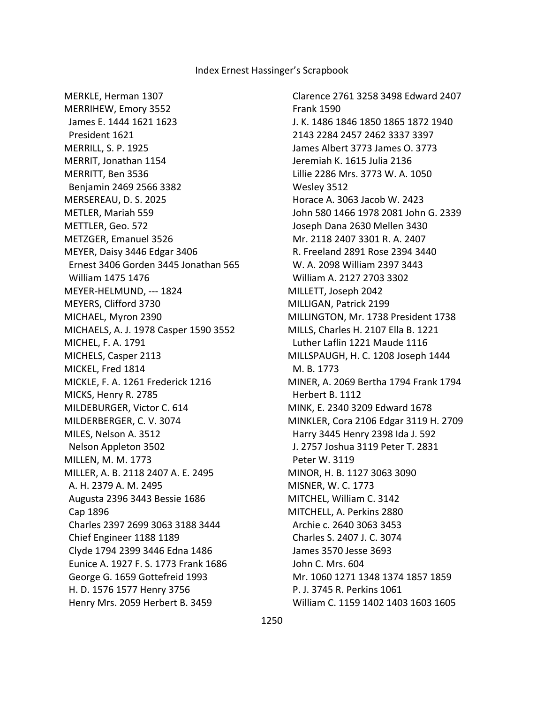MERKLE, Herman 1307 MERRIHEW, Emory 3552 James E. 1444 1621 1623 President 1621 MERRILL, S. P. 1925 MERRIT, Jonathan 1154 MERRITT, Ben 3536 Benjamin 2469 2566 3382 MERSEREAU, D. S. 2025 METLER, Mariah 559 METTLER, Geo. 572 METZGER, Emanuel 3526 MEYER, Daisy 3446 Edgar 3406 Ernest 3406 Gorden 3445 Jonathan 565 William 1475 1476 MEYER-HELMUND, --- 1824 MEYERS, Clifford 3730 MICHAEL, Myron 2390 MICHAELS, A. J. 1978 Casper 1590 3552 MICHEL, F. A. 1791 MICHELS, Casper 2113 MICKEL, Fred 1814 MICKLE, F. A. 1261 Frederick 1216 MICKS, Henry R. 2785 MILDEBURGER, Victor C. 614 MILDERBERGER, C. V. 3074 MILES, Nelson A. 3512 Nelson Appleton 3502 MILLEN, M. M. 1773 MILLER, A. B. 2118 2407 A. E. 2495 A. H. 2379 A. M. 2495 Augusta 2396 3443 Bessie 1686 Cap 1896 Charles 2397 2699 3063 3188 3444 Chief Engineer 1188 1189 Clyde 1794 2399 3446 Edna 1486 Eunice A. 1927 F. S. 1773 Frank 1686 George G. 1659 Gottefreid 1993 H. D. 1576 1577 Henry 3756 Henry Mrs. 2059 Herbert B. 3459

 Clarence 2761 3258 3498 Edward 2407 Frank 1590 J. K. 1486 1846 1850 1865 1872 1940 2143 2284 2457 2462 3337 3397 James Albert 3773 James O. 3773 Jeremiah K. 1615 Julia 2136 Lillie 2286 Mrs. 3773 W. A. 1050 Wesley 3512 Horace A. 3063 Jacob W. 2423 John 580 1466 1978 2081 John G. 2339 Joseph Dana 2630 Mellen 3430 Mr. 2118 2407 3301 R. A. 2407 R. Freeland 2891 Rose 2394 3440 W. A. 2098 William 2397 3443 William A. 2127 2703 3302 MILLETT, Joseph 2042 MILLIGAN, Patrick 2199 MILLINGTON, Mr. 1738 President 1738 MILLS, Charles H. 2107 Ella B. 1221 Luther Laflin 1221 Maude 1116 MILLSPAUGH, H. C. 1208 Joseph 1444 M. B. 1773 MINER, A. 2069 Bertha 1794 Frank 1794 Herbert B. 1112 MINK, E. 2340 3209 Edward 1678 MINKLER, Cora 2106 Edgar 3119 H. 2709 Harry 3445 Henry 2398 Ida J. 592 J. 2757 Joshua 3119 Peter T. 2831 Peter W. 3119 MINOR, H. B. 1127 3063 3090 MISNER, W. C. 1773 MITCHEL, William C. 3142 MITCHELL, A. Perkins 2880 Archie c. 2640 3063 3453 Charles S. 2407 J. C. 3074 James 3570 Jesse 3693 John C. Mrs. 604 Mr. 1060 1271 1348 1374 1857 1859 P. J. 3745 R. Perkins 1061 William C. 1159 1402 1403 1603 1605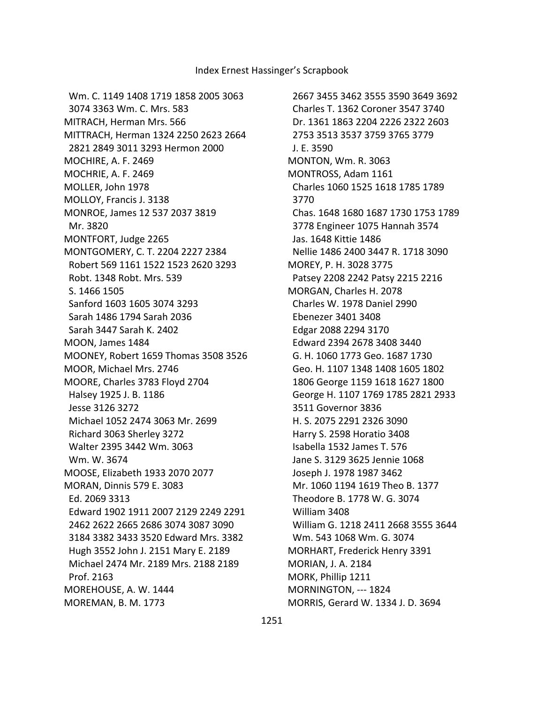Wm. C. 1149 1408 1719 1858 2005 3063 3074 3363 Wm. C. Mrs. 583 MITRACH, Herman Mrs. 566 MITTRACH, Herman 1324 2250 2623 2664 2821 2849 3011 3293 Hermon 2000 MOCHIRE, A. F. 2469 MOCHRIE, A. F. 2469 MOLLER, John 1978 MOLLOY, Francis J. 3138 MONROE, James 12 537 2037 3819 Mr. 3820 MONTFORT, Judge 2265 MONTGOMERY, C. T. 2204 2227 2384 Robert 569 1161 1522 1523 2620 3293 Robt. 1348 Robt. Mrs. 539 S. 1466 1505 Sanford 1603 1605 3074 3293 Sarah 1486 1794 Sarah 2036 Sarah 3447 Sarah K. 2402 MOON, James 1484 MOONEY, Robert 1659 Thomas 3508 3526 MOOR, Michael Mrs. 2746 MOORE, Charles 3783 Floyd 2704 Halsey 1925 J. B. 1186 Jesse 3126 3272 Michael 1052 2474 3063 Mr. 2699 Richard 3063 Sherley 3272 Walter 2395 3442 Wm. 3063 Wm. W. 3674 MOOSE, Elizabeth 1933 2070 2077 MORAN, Dinnis 579 E. 3083 Ed. 2069 3313 Edward 1902 1911 2007 2129 2249 2291 2462 2622 2665 2686 3074 3087 3090 3184 3382 3433 3520 Edward Mrs. 3382 Hugh 3552 John J. 2151 Mary E. 2189 Michael 2474 Mr. 2189 Mrs. 2188 2189 Prof. 2163 MOREHOUSE, A. W. 1444 MOREMAN, B. M. 1773

 2667 3455 3462 3555 3590 3649 3692 Charles T. 1362 Coroner 3547 3740 Dr. 1361 1863 2204 2226 2322 2603 2753 3513 3537 3759 3765 3779 J. E. 3590 MONTON, Wm. R. 3063 MONTROSS, Adam 1161 Charles 1060 1525 1618 1785 1789 3770 Chas. 1648 1680 1687 1730 1753 1789 3778 Engineer 1075 Hannah 3574 Jas. 1648 Kittie 1486 Nellie 1486 2400 3447 R. 1718 3090 MOREY, P. H. 3028 3775 Patsey 2208 2242 Patsy 2215 2216 MORGAN, Charles H. 2078 Charles W. 1978 Daniel 2990 Ebenezer 3401 3408 Edgar 2088 2294 3170 Edward 2394 2678 3408 3440 G. H. 1060 1773 Geo. 1687 1730 Geo. H. 1107 1348 1408 1605 1802 1806 George 1159 1618 1627 1800 George H. 1107 1769 1785 2821 2933 3511 Governor 3836 H. S. 2075 2291 2326 3090 Harry S. 2598 Horatio 3408 Isabella 1532 James T. 576 Jane S. 3129 3625 Jennie 1068 Joseph J. 1978 1987 3462 Mr. 1060 1194 1619 Theo B. 1377 Theodore B. 1778 W. G. 3074 William 3408 William G. 1218 2411 2668 3555 3644 Wm. 543 1068 Wm. G. 3074 MORHART, Frederick Henry 3391 MORIAN, J. A. 2184 MORK, Phillip 1211 MORNINGTON, --- 1824 MORRIS, Gerard W. 1334 J. D. 3694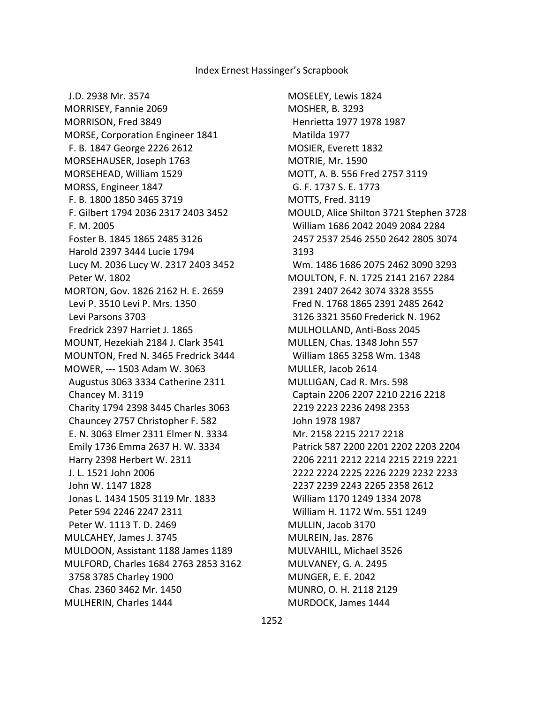J.D. 2938 Mr. 3574 MORRISEY, Fannie 2069 MORRISON, Fred 3849 MORSE, Corporation Engineer 1841 F. B. 1847 George 2226 2612 MORSEHAUSER, Joseph 1763 MORSEHEAD, William 1529 MORSS, Engineer 1847 F. B. 1800 1850 3465 3719 F. Gilbert 1794 2036 2317 2403 3452 F. M. 2005 Foster B. 1845 1865 2485 3126 Harold 2397 3444 Lucie 1794 Lucy M. 2036 Lucy W. 2317 2403 3452 Peter W. 1802 MORTON, Gov. 1826 2162 H. E. 2659 Levi P. 3510 Levi P. Mrs. 1350 Levi Parsons 3703 Fredrick 2397 Harriet J. 1865 MOUNT, Hezekiah 2184 J. Clark 3541 MOUNTON, Fred N. 3465 Fredrick 3444 MOWER, --- 1503 Adam W. 3063 Augustus 3063 3334 Catherine 2311 Chancey M. 3119 Charity 1794 2398 3445 Charles 3063 Chauncey 2757 Christopher F. 582 E. N. 3063 Elmer 2311 Elmer N. 3334 Emily 1736 Emma 2637 H. W. 3334 Harry 2398 Herbert W. 2311 J. L. 1521 John 2006 John W. 1147 1828 Jonas L. 1434 1505 3119 Mr. 1833 Peter 594 2246 2247 2311 Peter W. 1113 T. D. 2469 MULCAHEY, James J. 3745 MULDOON, Assistant 1188 James 1189 MULFORD, Charles 1684 2763 2853 3162 3758 3785 Charley 1900 Chas. 2360 3462 Mr. 1450 MULHERIN, Charles 1444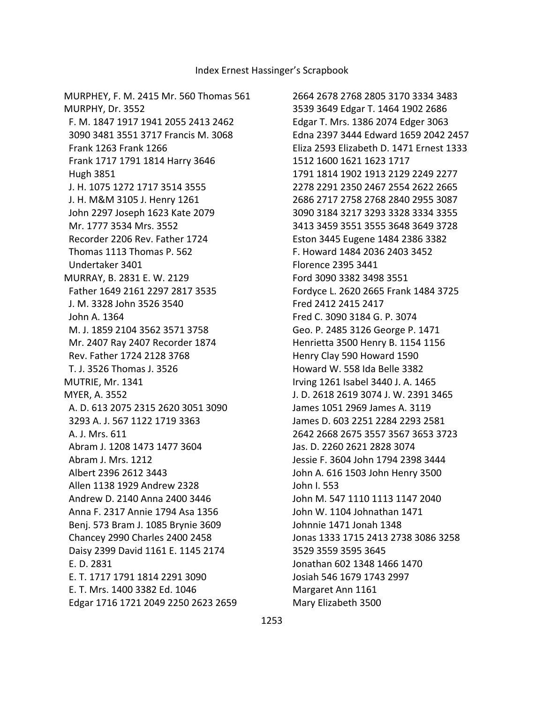MURPHEY, F. M. 2415 Mr. 560 Thomas 561 MURPHY, Dr. 3552 F. M. 1847 1917 1941 2055 2413 2462 3090 3481 3551 3717 Francis M. 3068 Frank 1263 Frank 1266 Frank 1717 1791 1814 Harry 3646 Hugh 3851 J. H. 1075 1272 1717 3514 3555 J. H. M&M 3105 J. Henry 1261 John 2297 Joseph 1623 Kate 2079 Mr. 1777 3534 Mrs. 3552 Recorder 2206 Rev. Father 1724 Thomas 1113 Thomas P. 562 Undertaker 3401 MURRAY, B. 2831 E. W. 2129 Father 1649 2161 2297 2817 3535 J. M. 3328 John 3526 3540 John A. 1364 M. J. 1859 2104 3562 3571 3758 Mr. 2407 Ray 2407 Recorder 1874 Rev. Father 1724 2128 3768 T. J. 3526 Thomas J. 3526 MUTRIE, Mr. 1341 MYER, A. 3552 A. D. 613 2075 2315 2620 3051 3090 3293 A. J. 567 1122 1719 3363 A. J. Mrs. 611 Abram J. 1208 1473 1477 3604 Abram J. Mrs. 1212 Albert 2396 2612 3443 Allen 1138 1929 Andrew 2328 Andrew D. 2140 Anna 2400 3446 Anna F. 2317 Annie 1794 Asa 1356 Benj. 573 Bram J. 1085 Brynie 3609 Chancey 2990 Charles 2400 2458 Daisy 2399 David 1161 E. 1145 2174 E. D. 2831 E. T. 1717 1791 1814 2291 3090 E. T. Mrs. 1400 3382 Ed. 1046 Edgar 1716 1721 2049 2250 2623 2659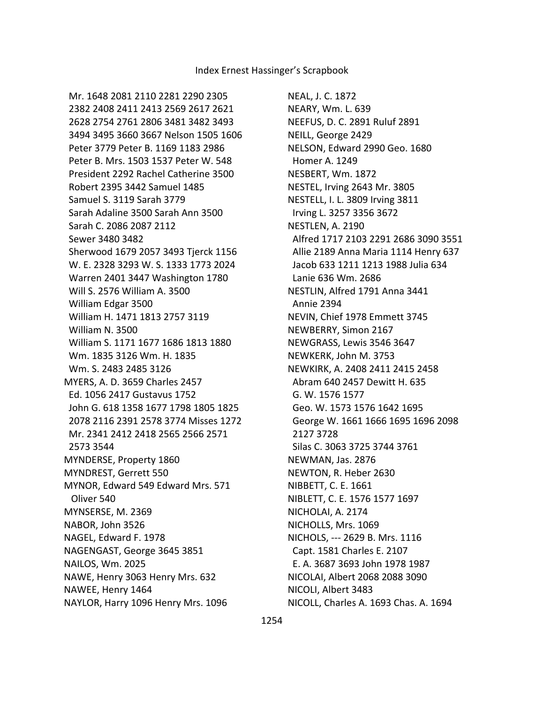Mr. 1648 2081 2110 2281 2290 2305 2382 2408 2411 2413 2569 2617 2621 2628 2754 2761 2806 3481 3482 3493 3494 3495 3660 3667 Nelson 1505 1606 Peter 3779 Peter B. 1169 1183 2986 Peter B. Mrs. 1503 1537 Peter W. 548 President 2292 Rachel Catherine 3500 Robert 2395 3442 Samuel 1485 Samuel S. 3119 Sarah 3779 Sarah Adaline 3500 Sarah Ann 3500 Sarah C. 2086 2087 2112 Sewer 3480 3482 Sherwood 1679 2057 3493 Tjerck 1156 W. E. 2328 3293 W. S. 1333 1773 2024 Warren 2401 3447 Washington 1780 Will S. 2576 William A. 3500 William Edgar 3500 William H. 1471 1813 2757 3119 William N. 3500 William S. 1171 1677 1686 1813 1880 Wm. 1835 3126 Wm. H. 1835 Wm. S. 2483 2485 3126 MYERS, A. D. 3659 Charles 2457 Ed. 1056 2417 Gustavus 1752 John G. 618 1358 1677 1798 1805 1825 2078 2116 2391 2578 3774 Misses 1272 Mr. 2341 2412 2418 2565 2566 2571 2573 3544 MYNDERSE, Property 1860 MYNDREST, Gerrett 550 MYNOR, Edward 549 Edward Mrs. 571 Oliver 540 MYNSERSE, M. 2369 NABOR, John 3526 NAGEL, Edward F. 1978 NAGENGAST, George 3645 3851 NAILOS, Wm. 2025 NAWE, Henry 3063 Henry Mrs. 632 NAWEE, Henry 1464 NAYLOR, Harry 1096 Henry Mrs. 1096

NEAL, J. C. 1872 NEARY, Wm. L. 639 NEEFUS, D. C. 2891 Ruluf 2891 NEILL, George 2429 NELSON, Edward 2990 Geo. 1680 Homer A. 1249 NESBERT, Wm. 1872 NESTEL, Irving 2643 Mr. 3805 NESTELL, I. L. 3809 Irving 3811 Irving L. 3257 3356 3672 NESTLEN, A. 2190 Alfred 1717 2103 2291 2686 3090 3551 Allie 2189 Anna Maria 1114 Henry 637 Jacob 633 1211 1213 1988 Julia 634 Lanie 636 Wm. 2686 NESTLIN, Alfred 1791 Anna 3441 Annie 2394 NEVIN, Chief 1978 Emmett 3745 NEWBERRY, Simon 2167 NEWGRASS, Lewis 3546 3647 NEWKERK, John M. 3753 NEWKIRK, A. 2408 2411 2415 2458 Abram 640 2457 Dewitt H. 635 G. W. 1576 1577 Geo. W. 1573 1576 1642 1695 George W. 1661 1666 1695 1696 2098 2127 3728 Silas C. 3063 3725 3744 3761 NEWMAN, Jas. 2876 NEWTON, R. Heber 2630 NIBBETT, C. E. 1661 NIBLETT, C. E. 1576 1577 1697 NICHOLAI, A. 2174 NICHOLLS, Mrs. 1069 NICHOLS, --- 2629 B. Mrs. 1116 Capt. 1581 Charles E. 2107 E. A. 3687 3693 John 1978 1987 NICOLAI, Albert 2068 2088 3090 NICOLI, Albert 3483 NICOLL, Charles A. 1693 Chas. A. 1694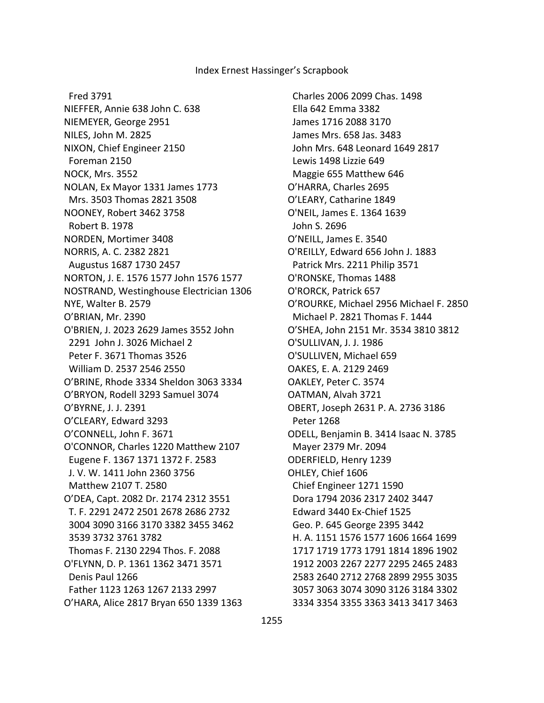Fred 3791

NIEFFER, Annie 638 John C. 638 NIEMEYER, George 2951 NILES, John M. 2825 NIXON, Chief Engineer 2150 Foreman 2150 NOCK, Mrs. 3552 NOLAN, Ex Mayor 1331 James 1773 Mrs. 3503 Thomas 2821 3508 NOONEY, Robert 3462 3758 Robert B. 1978 NORDEN, Mortimer 3408 NORRIS, A. C. 2382 2821 Augustus 1687 1730 2457 NORTON, J. E. 1576 1577 John 1576 1577 NOSTRAND, Westinghouse Electrician 1306 NYE, Walter B. 2579 O'BRIAN, Mr. 2390 O'BRIEN, J. 2023 2629 James 3552 John 2291 John J. 3026 Michael 2 Peter F. 3671 Thomas 3526 William D. 2537 2546 2550 O'BRINE, Rhode 3334 Sheldon 3063 3334 O'BRYON, Rodell 3293 Samuel 3074 O'BYRNE, J. J. 2391 O'CLEARY, Edward 3293 O'CONNELL, John F. 3671 O'CONNOR, Charles 1220 Matthew 2107 Eugene F. 1367 1371 1372 F. 2583 J. V. W. 1411 John 2360 3756 Matthew 2107 T. 2580 O'DEA, Capt. 2082 Dr. 2174 2312 3551 T. F. 2291 2472 2501 2678 2686 2732 3004 3090 3166 3170 3382 3455 3462 3539 3732 3761 3782 Thomas F. 2130 2294 Thos. F. 2088 O'FLYNN, D. P. 1361 1362 3471 3571 Denis Paul 1266 Father 1123 1263 1267 2133 2997 O'HARA, Alice 2817 Bryan 650 1339 1363

 Charles 2006 2099 Chas. 1498 Ella 642 Emma 3382 James 1716 2088 3170 James Mrs. 658 Jas. 3483 John Mrs. 648 Leonard 1649 2817 Lewis 1498 Lizzie 649 Maggie 655 Matthew 646 O'HARRA, Charles 2695 O'LEARY, Catharine 1849 O'NEIL, James E. 1364 1639 John S. 2696 O'NEILL, James E. 3540 O'REILLY, Edward 656 John J. 1883 Patrick Mrs. 2211 Philip 3571 O'RONSKE, Thomas 1488 O'RORCK, Patrick 657 O'ROURKE, Michael 2956 Michael F. 2850 Michael P. 2821 Thomas F. 1444 O'SHEA, John 2151 Mr. 3534 3810 3812 O'SULLIVAN, J. J. 1986 O'SULLIVEN, Michael 659 OAKES, E. A. 2129 2469 OAKLEY, Peter C. 3574 OATMAN, Alvah 3721 OBERT, Joseph 2631 P. A. 2736 3186 Peter 1268 ODELL, Benjamin B. 3414 Isaac N. 3785 Mayer 2379 Mr. 2094 ODERFIELD, Henry 1239 OHLEY, Chief 1606 Chief Engineer 1271 1590 Dora 1794 2036 2317 2402 3447 Edward 3440 Ex-Chief 1525 Geo. P. 645 George 2395 3442 H. A. 1151 1576 1577 1606 1664 1699 1717 1719 1773 1791 1814 1896 1902 1912 2003 2267 2277 2295 2465 2483 2583 2640 2712 2768 2899 2955 3035 3057 3063 3074 3090 3126 3184 3302 3334 3354 3355 3363 3413 3417 3463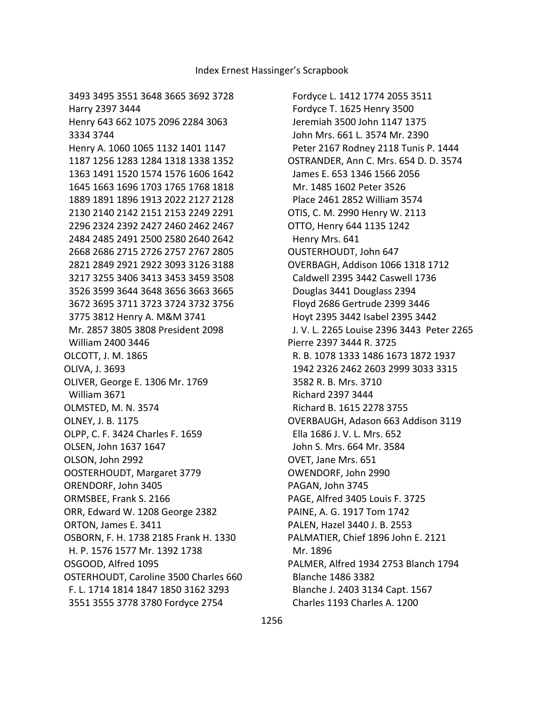Fordyce L. 1412 1774 2055 3511 Fordyce T. 1625 Henry 3500 Jeremiah 3500 John 1147 1375 John Mrs. 661 L. 3574 Mr. 2390 Peter 2167 Rodney 2118 Tunis P. 1444 OSTRANDER, Ann C. Mrs. 654 D. D. 3574 James E. 653 1346 1566 2056 Mr. 1485 1602 Peter 3526 Place 2461 2852 William 3574 OTIS, C. M. 2990 Henry W. 2113 OTTO, Henry 644 1135 1242 Henry Mrs. 641 OUSTERHOUDT, John 647 OVERBAGH, Addison 1066 1318 1712 Caldwell 2395 3442 Caswell 1736 Douglas 3441 Douglass 2394 Floyd 2686 Gertrude 2399 3446 Hoyt 2395 3442 Isabel 2395 3442 J. V. L. 2265 Louise 2396 3443 Peter 2265 Pierre 2397 3444 R. 3725 R. B. 1078 1333 1486 1673 1872 1937 1942 2326 2462 2603 2999 3033 3315 3582 R. B. Mrs. 3710 Richard 2397 3444 Richard B. 1615 2278 3755 OVERBAUGH, Adason 663 Addison 3119 Ella 1686 J. V. L. Mrs. 652 John S. Mrs. 664 Mr. 3584 OVET, Jane Mrs. 651 OWENDORF, John 2990 PAGAN, John 3745 PAGE, Alfred 3405 Louis F. 3725 PAINE, A. G. 1917 Tom 1742 PALEN, Hazel 3440 J. B. 2553 PALMATIER, Chief 1896 John E. 2121 Mr. 1896 PALMER, Alfred 1934 2753 Blanch 1794 Blanche 1486 3382 Blanche J. 2403 3134 Capt. 1567 Charles 1193 Charles A. 1200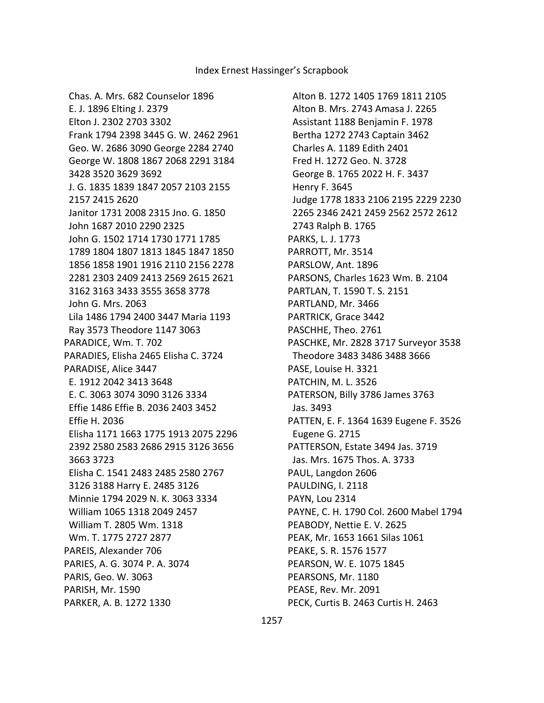Alton B. 1272 1405 1769 1811 2105 Alton B. Mrs. 2743 Amasa J. 2265 Assistant 1188 Benjamin F. 1978 Bertha 1272 2743 Captain 3462 Charles A. 1189 Edith 2401 Fred H. 1272 Geo. N. 3728 George B. 1765 2022 H. F. 3437 Henry F. 3645 Judge 1778 1833 2106 2195 2229 2230 2265 2346 2421 2459 2562 2572 2612 2743 Ralph B. 1765 PARKS, L. J. 1773 PARROTT, Mr. 3514 PARSLOW, Ant. 1896 PARSONS, Charles 1623 Wm. B. 2104 PARTLAN, T. 1590 T. S. 2151 PARTLAND, Mr. 3466 PARTRICK, Grace 3442 PASCHHE, Theo. 2761 PASCHKE, Mr. 2828 3717 Surveyor 3538 Theodore 3483 3486 3488 3666 PASE, Louise H. 3321 PATCHIN, M. L. 3526 PATERSON, Billy 3786 James 3763 Jas. 3493 PATTEN, E. F. 1364 1639 Eugene F. 3526 Eugene G. 2715 PATTERSON, Estate 3494 Jas. 3719 Jas. Mrs. 1675 Thos. A. 3733 PAUL, Langdon 2606 PAULDING, I. 2118 PAYN, Lou 2314 PAYNE, C. H. 1790 Col. 2600 Mabel 1794 PEABODY, Nettie E. V. 2625 PEAK, Mr. 1653 1661 Silas 1061 PEAKE, S. R. 1576 1577 PEARSON, W. E. 1075 1845 PEARSONS, Mr. 1180 PEASE, Rev. Mr. 2091 PECK, Curtis B. 2463 Curtis H. 2463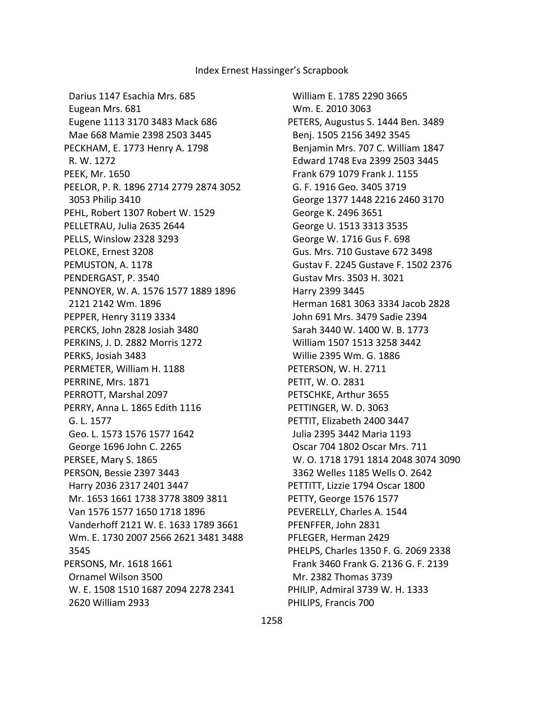Darius 1147 Esachia Mrs. 685 Eugean Mrs. 681 Eugene 1113 3170 3483 Mack 686 Mae 668 Mamie 2398 2503 3445 PECKHAM, E. 1773 Henry A. 1798 R. W. 1272 PEEK, Mr. 1650 PEELOR, P. R. 1896 2714 2779 2874 3052 3053 Philip 3410 PEHL, Robert 1307 Robert W. 1529 PELLETRAU, Julia 2635 2644 PELLS, Winslow 2328 3293 PELOKE, Ernest 3208 PEMUSTON, A. 1178 PENDERGAST, P. 3540 PENNOYER, W. A. 1576 1577 1889 1896 2121 2142 Wm. 1896 PEPPER, Henry 3119 3334 PERCKS, John 2828 Josiah 3480 PERKINS, J. D. 2882 Morris 1272 PERKS, Josiah 3483 PERMETER, William H. 1188 PERRINE, Mrs. 1871 PERROTT, Marshal 2097 PERRY, Anna L. 1865 Edith 1116 G. L. 1577 Geo. L. 1573 1576 1577 1642 George 1696 John C. 2265 PERSEE, Mary S. 1865 PERSON, Bessie 2397 3443 Harry 2036 2317 2401 3447 Mr. 1653 1661 1738 3778 3809 3811 Van 1576 1577 1650 1718 1896 Vanderhoff 2121 W. E. 1633 1789 3661 Wm. E. 1730 2007 2566 2621 3481 3488 3545 PERSONS, Mr. 1618 1661 Ornamel Wilson 3500 W. E. 1508 1510 1687 2094 2278 2341 2620 William 2933

 William E. 1785 2290 3665 Wm. E. 2010 3063 PETERS, Augustus S. 1444 Ben. 3489 Benj. 1505 2156 3492 3545 Benjamin Mrs. 707 C. William 1847 Edward 1748 Eva 2399 2503 3445 Frank 679 1079 Frank J. 1155 G. F. 1916 Geo. 3405 3719 George 1377 1448 2216 2460 3170 George K. 2496 3651 George U. 1513 3313 3535 George W. 1716 Gus F. 698 Gus. Mrs. 710 Gustave 672 3498 Gustav F. 2245 Gustave F. 1502 2376 Gustav Mrs. 3503 H. 3021 Harry 2399 3445 Herman 1681 3063 3334 Jacob 2828 John 691 Mrs. 3479 Sadie 2394 Sarah 3440 W. 1400 W. B. 1773 William 1507 1513 3258 3442 Willie 2395 Wm. G. 1886 PETERSON, W. H. 2711 PETIT, W. O. 2831 PETSCHKE, Arthur 3655 PETTINGER, W. D. 3063 PETTIT, Elizabeth 2400 3447 Julia 2395 3442 Maria 1193 Oscar 704 1802 Oscar Mrs. 711 W. O. 1718 1791 1814 2048 3074 3090 3362 Welles 1185 Wells O. 2642 PETTITT, Lizzie 1794 Oscar 1800 PETTY, George 1576 1577 PEVERELLY, Charles A. 1544 PFENFFER, John 2831 PFLEGER, Herman 2429 PHELPS, Charles 1350 F. G. 2069 2338 Frank 3460 Frank G. 2136 G. F. 2139 Mr. 2382 Thomas 3739 PHILIP, Admiral 3739 W. H. 1333 PHILIPS, Francis 700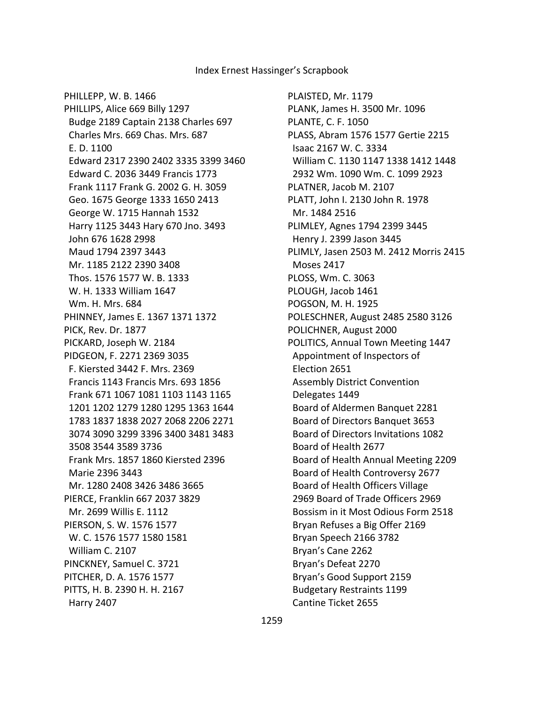PHILLEPP, W. B. 1466 PHILLIPS, Alice 669 Billy 1297 Budge 2189 Captain 2138 Charles 697 Charles Mrs. 669 Chas. Mrs. 687 E. D. 1100 Edward 2317 2390 2402 3335 3399 3460 Edward C. 2036 3449 Francis 1773 Frank 1117 Frank G. 2002 G. H. 3059 Geo. 1675 George 1333 1650 2413 George W. 1715 Hannah 1532 Harry 1125 3443 Hary 670 Jno. 3493 John 676 1628 2998 Maud 1794 2397 3443 Mr. 1185 2122 2390 3408 Thos. 1576 1577 W. B. 1333 W. H. 1333 William 1647 Wm. H. Mrs. 684 PHINNEY, James E. 1367 1371 1372 PICK, Rev. Dr. 1877 PICKARD, Joseph W. 2184 PIDGEON, F. 2271 2369 3035 F. Kiersted 3442 F. Mrs. 2369 Francis 1143 Francis Mrs. 693 1856 Frank 671 1067 1081 1103 1143 1165 1201 1202 1279 1280 1295 1363 1644 1783 1837 1838 2027 2068 2206 2271 3074 3090 3299 3396 3400 3481 3483 3508 3544 3589 3736 Frank Mrs. 1857 1860 Kiersted 2396 Marie 2396 3443 Mr. 1280 2408 3426 3486 3665 PIERCE, Franklin 667 2037 3829 Mr. 2699 Willis E. 1112 PIERSON, S. W. 1576 1577 W. C. 1576 1577 1580 1581 William C. 2107 PINCKNEY, Samuel C. 3721 PITCHER, D. A. 1576 1577 PITTS, H. B. 2390 H. H. 2167 Harry 2407

PLAISTED, Mr. 1179 PLANK, James H. 3500 Mr. 1096 PLANTE, C. F. 1050 PLASS, Abram 1576 1577 Gertie 2215 Isaac 2167 W. C. 3334 William C. 1130 1147 1338 1412 1448 2932 Wm. 1090 Wm. C. 1099 2923 PLATNER, Jacob M. 2107 PLATT, John I. 2130 John R. 1978 Mr. 1484 2516 PLIMLEY, Agnes 1794 2399 3445 Henry J. 2399 Jason 3445 PLIMLY, Jasen 2503 M. 2412 Morris 2415 Moses 2417 PLOSS, Wm. C. 3063 PLOUGH, Jacob 1461 POGSON, M. H. 1925 POLESCHNER, August 2485 2580 3126 POLICHNER, August 2000 POLITICS, Annual Town Meeting 1447 Appointment of Inspectors of Election 2651 Assembly District Convention Delegates 1449 Board of Aldermen Banquet 2281 Board of Directors Banquet 3653 Board of Directors Invitations 1082 Board of Health 2677 Board of Health Annual Meeting 2209 Board of Health Controversy 2677 Board of Health Officers Village 2969 Board of Trade Officers 2969 Bossism in it Most Odious Form 2518 Bryan Refuses a Big Offer 2169 Bryan Speech 2166 3782 Bryan's Cane 2262 Bryan's Defeat 2270 Bryan's Good Support 2159 Budgetary Restraints 1199 Cantine Ticket 2655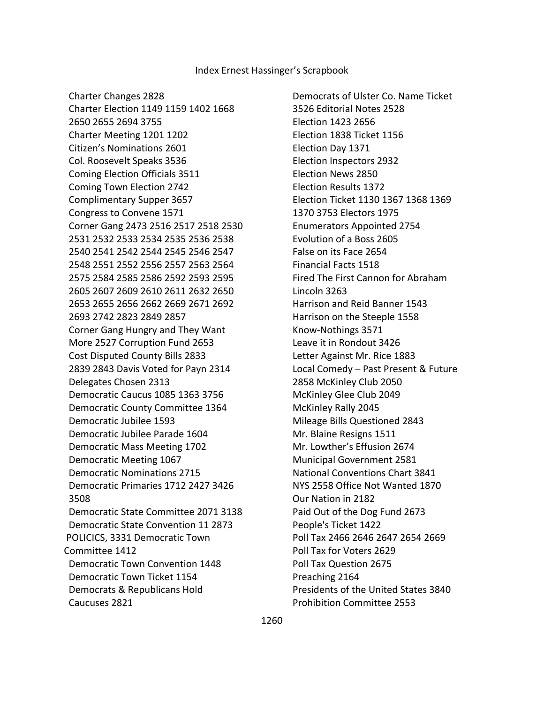Charter Changes 2828 Charter Election 1149 1159 1402 1668 2650 2655 2694 3755 Charter Meeting 1201 1202 Citizen's Nominations 2601 Col. Roosevelt Speaks 3536 Coming Election Officials 3511 Coming Town Election 2742 Complimentary Supper 3657 Congress to Convene 1571 Corner Gang 2473 2516 2517 2518 2530 2531 2532 2533 2534 2535 2536 2538 2540 2541 2542 2544 2545 2546 2547 2548 2551 2552 2556 2557 2563 2564 2575 2584 2585 2586 2592 2593 2595 2605 2607 2609 2610 2611 2632 2650 2653 2655 2656 2662 2669 2671 2692 2693 2742 2823 2849 2857 Corner Gang Hungry and They Want More 2527 Corruption Fund 2653 Cost Disputed County Bills 2833 2839 2843 Davis Voted for Payn 2314 Delegates Chosen 2313 Democratic Caucus 1085 1363 3756 Democratic County Committee 1364 Democratic Jubilee 1593 Democratic Jubilee Parade 1604 Democratic Mass Meeting 1702 Democratic Meeting 1067 Democratic Nominations 2715 Democratic Primaries 1712 2427 3426 3508 Democratic State Committee 2071 3138 Democratic State Convention 11 2873 POLICICS, 3331 Democratic Town Committee 1412 Democratic Town Convention 1448 Democratic Town Ticket 1154 Democrats & Republicans Hold Caucuses 2821

 Democrats of Ulster Co. Name Ticket 3526 Editorial Notes 2528 Election 1423 2656 Election 1838 Ticket 1156 Election Day 1371 Election Inspectors 2932 Election News 2850 Election Results 1372 Election Ticket 1130 1367 1368 1369 1370 3753 Electors 1975 Enumerators Appointed 2754 Evolution of a Boss 2605 False on its Face 2654 Financial Facts 1518 Fired The First Cannon for Abraham Lincoln 3263 Harrison and Reid Banner 1543 Harrison on the Steeple 1558 Know-Nothings 3571 Leave it in Rondout 3426 Letter Against Mr. Rice 1883 Local Comedy – Past Present & Future 2858 McKinley Club 2050 McKinley Glee Club 2049 McKinley Rally 2045 Mileage Bills Questioned 2843 Mr. Blaine Resigns 1511 Mr. Lowther's Effusion 2674 Municipal Government 2581 National Conventions Chart 3841 NYS 2558 Office Not Wanted 1870 Our Nation in 2182 Paid Out of the Dog Fund 2673 People's Ticket 1422 Poll Tax 2466 2646 2647 2654 2669 Poll Tax for Voters 2629 Poll Tax Question 2675 Preaching 2164 Presidents of the United States 3840 Prohibition Committee 2553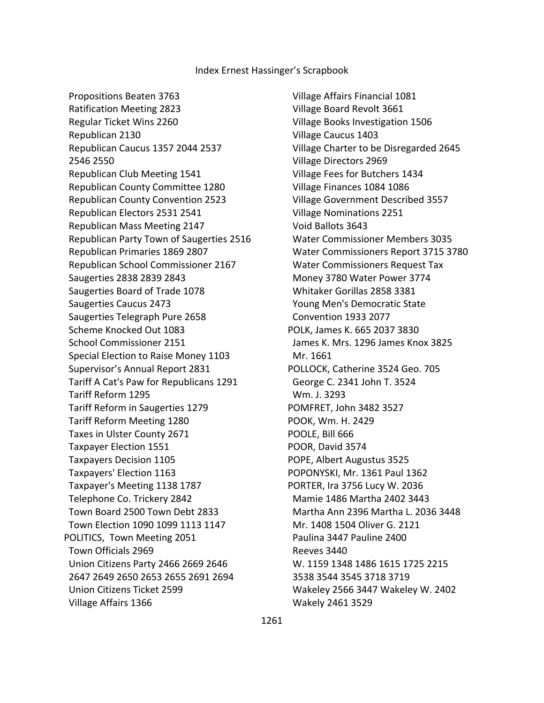Propositions Beaten 3763

 Ratification Meeting 2823 Regular Ticket Wins 2260 Republican 2130 Republican Caucus 1357 2044 2537 2546 2550 Republican Club Meeting 1541 Republican County Committee 1280 Republican County Convention 2523 Republican Electors 2531 2541 Republican Mass Meeting 2147 Republican Party Town of Saugerties 2516 Republican Primaries 1869 2807 Republican School Commissioner 2167 Saugerties 2838 2839 2843 Saugerties Board of Trade 1078 Saugerties Caucus 2473 Saugerties Telegraph Pure 2658 Scheme Knocked Out 1083 School Commissioner 2151 Special Election to Raise Money 1103 Supervisor's Annual Report 2831 Tariff A Cat's Paw for Republicans 1291 Tariff Reform 1295 Tariff Reform in Saugerties 1279 Tariff Reform Meeting 1280 Taxes in Ulster County 2671 Taxpayer Election 1551 Taxpayers Decision 1105 Taxpayers' Election 1163 Taxpayer's Meeting 1138 1787 Telephone Co. Trickery 2842 Town Board 2500 Town Debt 2833 Town Election 1090 1099 1113 1147 POLITICS, Town Meeting 2051 Town Officials 2969 Union Citizens Party 2466 2669 2646 2647 2649 2650 2653 2655 2691 2694 Union Citizens Ticket 2599 Village Affairs 1366

 Village Affairs Financial 1081 Village Board Revolt 3661 Village Books Investigation 1506 Village Caucus 1403 Village Charter to be Disregarded 2645 Village Directors 2969 Village Fees for Butchers 1434 Village Finances 1084 1086 Village Government Described 3557 Village Nominations 2251 Void Ballots 3643 Water Commissioner Members 3035 Water Commissioners Report 3715 3780 Water Commissioners Request Tax Money 3780 Water Power 3774 Whitaker Gorillas 2858 3381 Young Men's Democratic State Convention 1933 2077 POLK, James K. 665 2037 3830 James K. Mrs. 1296 James Knox 3825 Mr. 1661 POLLOCK, Catherine 3524 Geo. 705 George C. 2341 John T. 3524 Wm. J. 3293 POMFRET, John 3482 3527 POOK, Wm. H. 2429 POOLE, Bill 666 POOR, David 3574 POPE, Albert Augustus 3525 POPONYSKI, Mr. 1361 Paul 1362 PORTER, Ira 3756 Lucy W. 2036 Mamie 1486 Martha 2402 3443 Martha Ann 2396 Martha L. 2036 3448 Mr. 1408 1504 Oliver G. 2121 Paulina 3447 Pauline 2400 Reeves 3440 W. 1159 1348 1486 1615 1725 2215 3538 3544 3545 3718 3719 Wakeley 2566 3447 Wakeley W. 2402 Wakely 2461 3529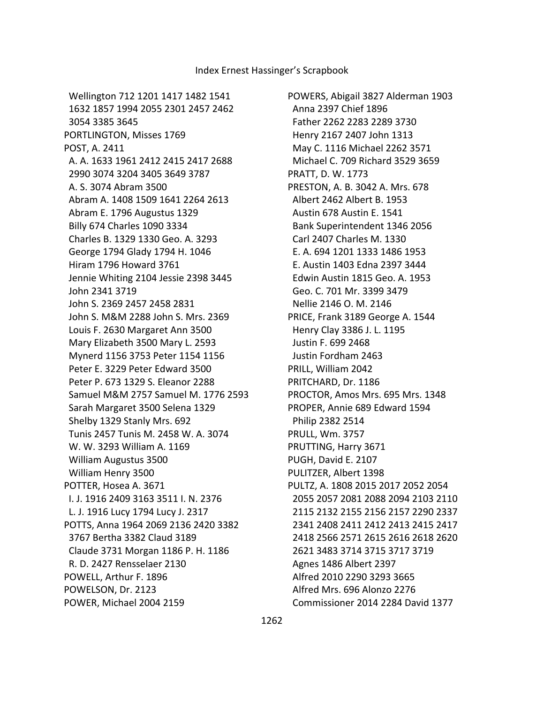Wellington 712 1201 1417 1482 1541 1632 1857 1994 2055 2301 2457 2462 3054 3385 3645 PORTLINGTON, Misses 1769 POST, A. 2411 A. A. 1633 1961 2412 2415 2417 2688 2990 3074 3204 3405 3649 3787 A. S. 3074 Abram 3500 Abram A. 1408 1509 1641 2264 2613 Abram E. 1796 Augustus 1329 Billy 674 Charles 1090 3334 Charles B. 1329 1330 Geo. A. 3293 George 1794 Glady 1794 H. 1046 Hiram 1796 Howard 3761 Jennie Whiting 2104 Jessie 2398 3445 John 2341 3719 John S. 2369 2457 2458 2831 John S. M&M 2288 John S. Mrs. 2369 Louis F. 2630 Margaret Ann 3500 Mary Elizabeth 3500 Mary L. 2593 Mynerd 1156 3753 Peter 1154 1156 Peter E. 3229 Peter Edward 3500 Peter P. 673 1329 S. Eleanor 2288 Samuel M&M 2757 Samuel M. 1776 2593 Sarah Margaret 3500 Selena 1329 Shelby 1329 Stanly Mrs. 692 Tunis 2457 Tunis M. 2458 W. A. 3074 W. W. 3293 William A. 1169 William Augustus 3500 William Henry 3500 POTTER, Hosea A. 3671 I. J. 1916 2409 3163 3511 I. N. 2376 L. J. 1916 Lucy 1794 Lucy J. 2317 POTTS, Anna 1964 2069 2136 2420 3382 3767 Bertha 3382 Claud 3189 Claude 3731 Morgan 1186 P. H. 1186 R. D. 2427 Rensselaer 2130 POWELL, Arthur F. 1896 POWELSON, Dr. 2123 POWER, Michael 2004 2159

POWERS, Abigail 3827 Alderman 1903 Anna 2397 Chief 1896 Father 2262 2283 2289 3730 Henry 2167 2407 John 1313 May C. 1116 Michael 2262 3571 Michael C. 709 Richard 3529 3659 PRATT, D. W. 1773 PRESTON, A. B. 3042 A. Mrs. 678 Albert 2462 Albert B. 1953 Austin 678 Austin E. 1541 Bank Superintendent 1346 2056 Carl 2407 Charles M. 1330 E. A. 694 1201 1333 1486 1953 E. Austin 1403 Edna 2397 3444 Edwin Austin 1815 Geo. A. 1953 Geo. C. 701 Mr. 3399 3479 Nellie 2146 O. M. 2146 PRICE, Frank 3189 George A. 1544 Henry Clay 3386 J. L. 1195 Justin F. 699 2468 Justin Fordham 2463 PRILL, William 2042 PRITCHARD, Dr. 1186 PROCTOR, Amos Mrs. 695 Mrs. 1348 PROPER, Annie 689 Edward 1594 Philip 2382 2514 PRULL, Wm. 3757 PRUTTING, Harry 3671 PUGH, David E. 2107 PULITZER, Albert 1398 PULTZ, A. 1808 2015 2017 2052 2054 2055 2057 2081 2088 2094 2103 2110 2115 2132 2155 2156 2157 2290 2337 2341 2408 2411 2412 2413 2415 2417 2418 2566 2571 2615 2616 2618 2620 2621 3483 3714 3715 3717 3719 Agnes 1486 Albert 2397 Alfred 2010 2290 3293 3665 Alfred Mrs. 696 Alonzo 2276 Commissioner 2014 2284 David 1377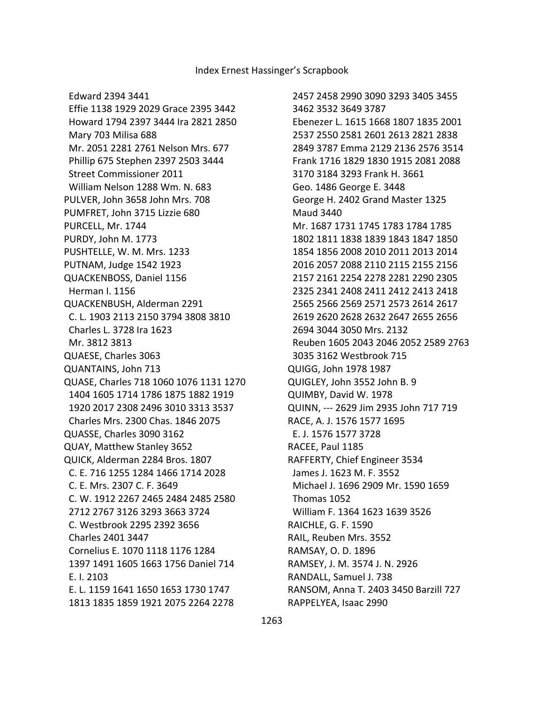Edward 2394 3441 Effie 1138 1929 2029 Grace 2395 3442 Howard 1794 2397 3444 Ira 2821 2850 Mary 703 Milisa 688 Mr. 2051 2281 2761 Nelson Mrs. 677 Phillip 675 Stephen 2397 2503 3444 Street Commissioner 2011 William Nelson 1288 Wm. N. 683 PULVER, John 3658 John Mrs. 708 PUMFRET, John 3715 Lizzie 680 PURCELL, Mr. 1744 PURDY, John M. 1773 PUSHTELLE, W. M. Mrs. 1233 PUTNAM, Judge 1542 1923 QUACKENBOSS, Daniel 1156 Herman I. 1156 QUACKENBUSH, Alderman 2291 C. L. 1903 2113 2150 3794 3808 3810 Charles L. 3728 Ira 1623 Mr. 3812 3813 QUAESE, Charles 3063 QUANTAINS, John 713 QUASE, Charles 718 1060 1076 1131 1270 1404 1605 1714 1786 1875 1882 1919 1920 2017 2308 2496 3010 3313 3537 Charles Mrs. 2300 Chas. 1846 2075 QUASSE, Charles 3090 3162 QUAY, Matthew Stanley 3652 QUICK, Alderman 2284 Bros. 1807 C. E. 716 1255 1284 1466 1714 2028 C. E. Mrs. 2307 C. F. 3649 C. W. 1912 2267 2465 2484 2485 2580 2712 2767 3126 3293 3663 3724 C. Westbrook 2295 2392 3656 Charles 2401 3447 Cornelius E. 1070 1118 1176 1284 1397 1491 1605 1663 1756 Daniel 714 E. I. 2103 E. L. 1159 1641 1650 1653 1730 1747 1813 1835 1859 1921 2075 2264 2278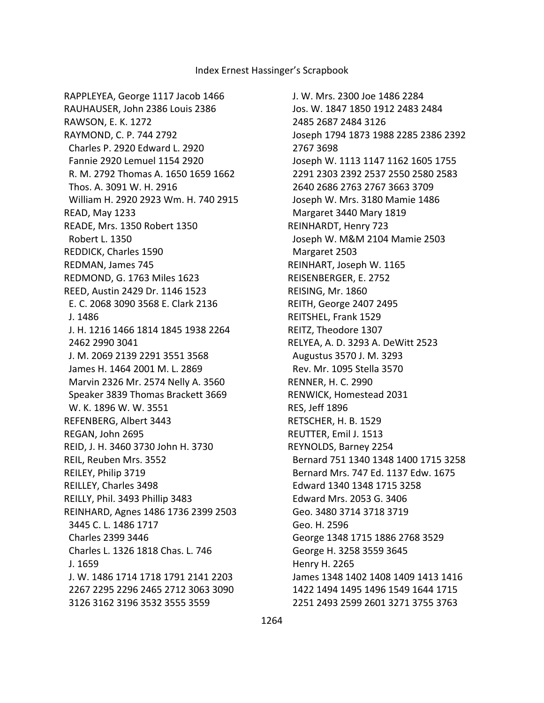RAPPLEYEA, George 1117 Jacob 1466 RAUHAUSER, John 2386 Louis 2386 RAWSON, E. K. 1272 RAYMOND, C. P. 744 2792 Charles P. 2920 Edward L. 2920 Fannie 2920 Lemuel 1154 2920 R. M. 2792 Thomas A. 1650 1659 1662 Thos. A. 3091 W. H. 2916 William H. 2920 2923 Wm. H. 740 2915 READ, May 1233 READE, Mrs. 1350 Robert 1350 Robert L. 1350 REDDICK, Charles 1590 REDMAN, James 745 REDMOND, G. 1763 Miles 1623 REED, Austin 2429 Dr. 1146 1523 E. C. 2068 3090 3568 E. Clark 2136 J. 1486 J. H. 1216 1466 1814 1845 1938 2264 2462 2990 3041 J. M. 2069 2139 2291 3551 3568 James H. 1464 2001 M. L. 2869 Marvin 2326 Mr. 2574 Nelly A. 3560 Speaker 3839 Thomas Brackett 3669 W. K. 1896 W. W. 3551 REFENBERG, Albert 3443 REGAN, John 2695 REID, J. H. 3460 3730 John H. 3730 REIL, Reuben Mrs. 3552 REILEY, Philip 3719 REILLEY, Charles 3498 REILLY, Phil. 3493 Phillip 3483 REINHARD, Agnes 1486 1736 2399 2503 3445 C. L. 1486 1717 Charles 2399 3446 Charles L. 1326 1818 Chas. L. 746 J. 1659 J. W. 1486 1714 1718 1791 2141 2203 2267 2295 2296 2465 2712 3063 3090 3126 3162 3196 3532 3555 3559

 J. W. Mrs. 2300 Joe 1486 2284 Jos. W. 1847 1850 1912 2483 2484 2485 2687 2484 3126 Joseph 1794 1873 1988 2285 2386 2392 2767 3698 Joseph W. 1113 1147 1162 1605 1755 2291 2303 2392 2537 2550 2580 2583 2640 2686 2763 2767 3663 3709 Joseph W. Mrs. 3180 Mamie 1486 Margaret 3440 Mary 1819 REINHARDT, Henry 723 Joseph W. M&M 2104 Mamie 2503 Margaret 2503 REINHART, Joseph W. 1165 REISENBERGER, E. 2752 REISING, Mr. 1860 REITH, George 2407 2495 REITSHEL, Frank 1529 REITZ, Theodore 1307 RELYEA, A. D. 3293 A. DeWitt 2523 Augustus 3570 J. M. 3293 Rev. Mr. 1095 Stella 3570 RENNER, H. C. 2990 RENWICK, Homestead 2031 RES, Jeff 1896 RETSCHER, H. B. 1529 REUTTER, Emil J. 1513 REYNOLDS, Barney 2254 Bernard 751 1340 1348 1400 1715 3258 Bernard Mrs. 747 Ed. 1137 Edw. 1675 Edward 1340 1348 1715 3258 Edward Mrs. 2053 G. 3406 Geo. 3480 3714 3718 3719 Geo. H. 2596 George 1348 1715 1886 2768 3529 George H. 3258 3559 3645 Henry H. 2265 James 1348 1402 1408 1409 1413 1416 1422 1494 1495 1496 1549 1644 1715 2251 2493 2599 2601 3271 3755 3763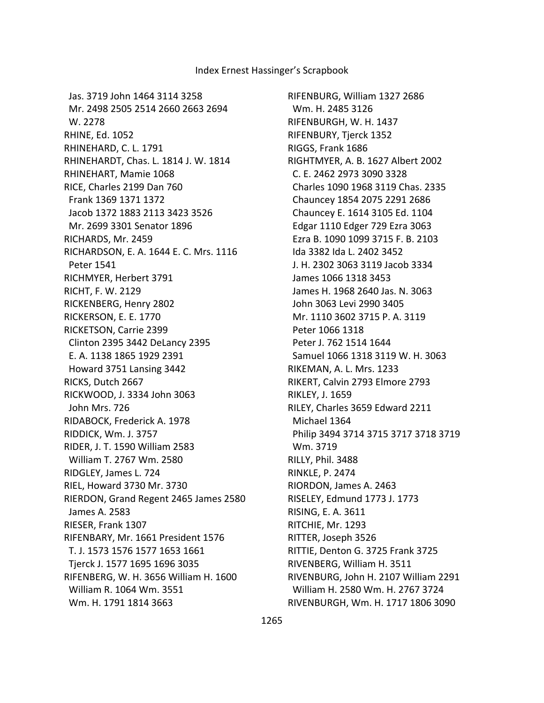Jas. 3719 John 1464 3114 3258 Mr. 2498 2505 2514 2660 2663 2694 W. 2278 RHINE, Ed. 1052 RHINEHARD, C. L. 1791 RHINEHARDT, Chas. L. 1814 J. W. 1814 RHINEHART, Mamie 1068 RICE, Charles 2199 Dan 760 Frank 1369 1371 1372 Jacob 1372 1883 2113 3423 3526 Mr. 2699 3301 Senator 1896 RICHARDS, Mr. 2459 RICHARDSON, E. A. 1644 E. C. Mrs. 1116 Peter 1541 RICHMYER, Herbert 3791 RICHT, F. W. 2129 RICKENBERG, Henry 2802 RICKERSON, E. E. 1770 RICKETSON, Carrie 2399 Clinton 2395 3442 DeLancy 2395 E. A. 1138 1865 1929 2391 Howard 3751 Lansing 3442 RICKS, Dutch 2667 RICKWOOD, J. 3334 John 3063 John Mrs. 726 RIDABOCK, Frederick A. 1978 RIDDICK, Wm. J. 3757 RIDER, J. T. 1590 William 2583 William T. 2767 Wm. 2580 RIDGLEY, James L. 724 RIEL, Howard 3730 Mr. 3730 RIERDON, Grand Regent 2465 James 2580 James A. 2583 RIESER, Frank 1307 RIFENBARY, Mr. 1661 President 1576 T. J. 1573 1576 1577 1653 1661 Tjerck J. 1577 1695 1696 3035 RIFENBERG, W. H. 3656 William H. 1600 William R. 1064 Wm. 3551 Wm. H. 1791 1814 3663

RIFENBURG, William 1327 2686 Wm. H. 2485 3126 RIFENBURGH, W. H. 1437 RIFENBURY, Tjerck 1352 RIGGS, Frank 1686 RIGHTMYER, A. B. 1627 Albert 2002 C. E. 2462 2973 3090 3328 Charles 1090 1968 3119 Chas. 2335 Chauncey 1854 2075 2291 2686 Chauncey E. 1614 3105 Ed. 1104 Edgar 1110 Edger 729 Ezra 3063 Ezra B. 1090 1099 3715 F. B. 2103 Ida 3382 Ida L. 2402 3452 J. H. 2302 3063 3119 Jacob 3334 James 1066 1318 3453 James H. 1968 2640 Jas. N. 3063 John 3063 Levi 2990 3405 Mr. 1110 3602 3715 P. A. 3119 Peter 1066 1318 Peter J. 762 1514 1644 Samuel 1066 1318 3119 W. H. 3063 RIKEMAN, A. L. Mrs. 1233 RIKERT, Calvin 2793 Elmore 2793 RIKLEY, J. 1659 RILEY, Charles 3659 Edward 2211 Michael 1364 Philip 3494 3714 3715 3717 3718 3719 Wm. 3719 RILLY, Phil. 3488 RINKLE, P. 2474 RIORDON, James A. 2463 RISELEY, Edmund 1773 J. 1773 RISING, E. A. 3611 RITCHIE, Mr. 1293 RITTER, Joseph 3526 RITTIE, Denton G. 3725 Frank 3725 RIVENBERG, William H. 3511 RIVENBURG, John H. 2107 William 2291 William H. 2580 Wm. H. 2767 3724 RIVENBURGH, Wm. H. 1717 1806 3090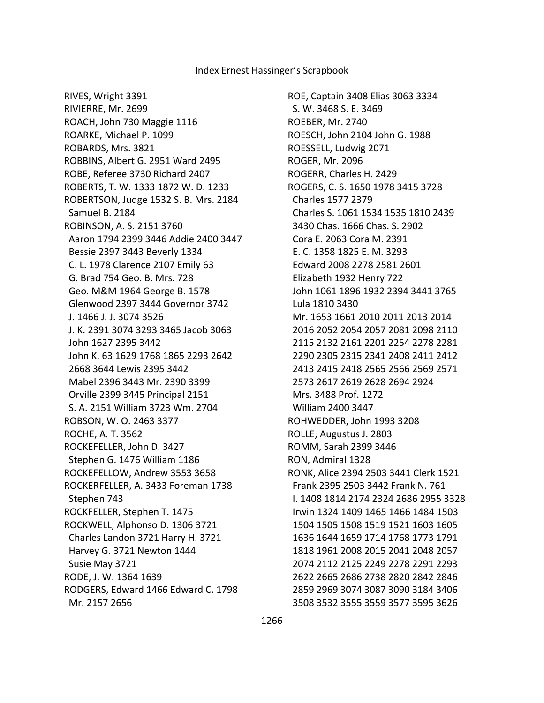RIVES, Wright 3391 RIVIERRE, Mr. 2699 ROACH, John 730 Maggie 1116 ROARKE, Michael P. 1099 ROBARDS, Mrs. 3821 ROBBINS, Albert G. 2951 Ward 2495 ROBE, Referee 3730 Richard 2407 ROBERTS, T. W. 1333 1872 W. D. 1233 ROBERTSON, Judge 1532 S. B. Mrs. 2184 Samuel B. 2184 ROBINSON, A. S. 2151 3760 Aaron 1794 2399 3446 Addie 2400 3447 Bessie 2397 3443 Beverly 1334 C. L. 1978 Clarence 2107 Emily 63 G. Brad 754 Geo. B. Mrs. 728 Geo. M&M 1964 George B. 1578 Glenwood 2397 3444 Governor 3742 J. 1466 J. J. 3074 3526 J. K. 2391 3074 3293 3465 Jacob 3063 John 1627 2395 3442 John K. 63 1629 1768 1865 2293 2642 2668 3644 Lewis 2395 3442 Mabel 2396 3443 Mr. 2390 3399 Orville 2399 3445 Principal 2151 S. A. 2151 William 3723 Wm. 2704 ROBSON, W. O. 2463 3377 ROCHE, A. T. 3562 ROCKEFELLER, John D. 3427 Stephen G. 1476 William 1186 ROCKEFELLOW, Andrew 3553 3658 ROCKERFELLER, A. 3433 Foreman 1738 Stephen 743 ROCKFELLER, Stephen T. 1475 ROCKWELL, Alphonso D. 1306 3721 Charles Landon 3721 Harry H. 3721 Harvey G. 3721 Newton 1444 Susie May 3721 RODE, J. W. 1364 1639 RODGERS, Edward 1466 Edward C. 1798 Mr. 2157 2656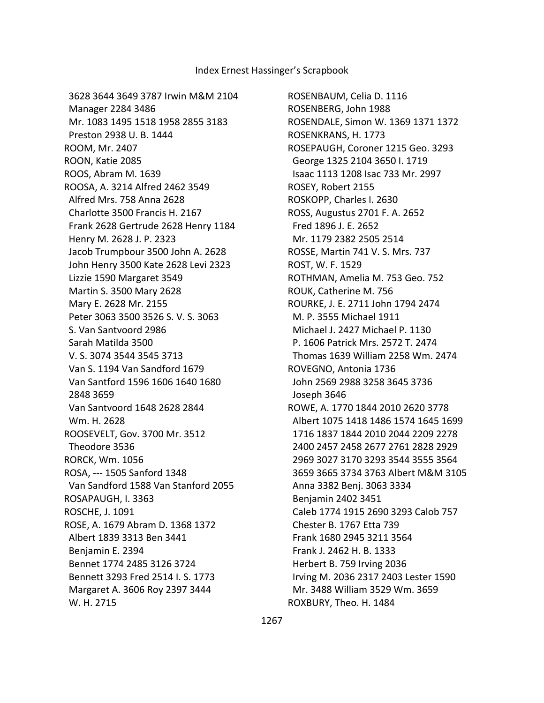3628 3644 3649 3787 Irwin M&M 2104 Manager 2284 3486 Mr. 1083 1495 1518 1958 2855 3183 Preston 2938 U. B. 1444 ROOM, Mr. 2407 ROON, Katie 2085 ROOS, Abram M. 1639 ROOSA, A. 3214 Alfred 2462 3549 Alfred Mrs. 758 Anna 2628 Charlotte 3500 Francis H. 2167 Frank 2628 Gertrude 2628 Henry 1184 Henry M. 2628 J. P. 2323 Jacob Trumpbour 3500 John A. 2628 John Henry 3500 Kate 2628 Levi 2323 Lizzie 1590 Margaret 3549 Martin S. 3500 Mary 2628 Mary E. 2628 Mr. 2155 Peter 3063 3500 3526 S. V. S. 3063 S. Van Santvoord 2986 Sarah Matilda 3500 V. S. 3074 3544 3545 3713 Van S. 1194 Van Sandford 1679 Van Santford 1596 1606 1640 1680 2848 3659 Van Santvoord 1648 2628 2844 Wm. H. 2628 ROOSEVELT, Gov. 3700 Mr. 3512 Theodore 3536 RORCK, Wm. 1056 ROSA, --- 1505 Sanford 1348 Van Sandford 1588 Van Stanford 2055 ROSAPAUGH, I. 3363 ROSCHE, J. 1091 ROSE, A. 1679 Abram D. 1368 1372 Albert 1839 3313 Ben 3441 Benjamin E. 2394 Bennet 1774 2485 3126 3724 Bennett 3293 Fred 2514 I. S. 1773 Margaret A. 3606 Roy 2397 3444 W. H. 2715

ROSENBAUM, Celia D. 1116 ROSENBERG, John 1988 ROSENDALE, Simon W. 1369 1371 1372 ROSENKRANS, H. 1773 ROSEPAUGH, Coroner 1215 Geo. 3293 George 1325 2104 3650 I. 1719 Isaac 1113 1208 Isac 733 Mr. 2997 ROSEY, Robert 2155 ROSKOPP, Charles I. 2630 ROSS, Augustus 2701 F. A. 2652 Fred 1896 J. E. 2652 Mr. 1179 2382 2505 2514 ROSSE, Martin 741 V. S. Mrs. 737 ROST, W. F. 1529 ROTHMAN, Amelia M. 753 Geo. 752 ROUK, Catherine M. 756 ROURKE, J. E. 2711 John 1794 2474 M. P. 3555 Michael 1911 Michael J. 2427 Michael P. 1130 P. 1606 Patrick Mrs. 2572 T. 2474 Thomas 1639 William 2258 Wm. 2474 ROVEGNO, Antonia 1736 John 2569 2988 3258 3645 3736 Joseph 3646 ROWE, A. 1770 1844 2010 2620 3778 Albert 1075 1418 1486 1574 1645 1699 1716 1837 1844 2010 2044 2209 2278 2400 2457 2458 2677 2761 2828 2929 2969 3027 3170 3293 3544 3555 3564 3659 3665 3734 3763 Albert M&M 3105 Anna 3382 Benj. 3063 3334 Benjamin 2402 3451 Caleb 1774 1915 2690 3293 Calob 757 Chester B. 1767 Etta 739 Frank 1680 2945 3211 3564 Frank J. 2462 H. B. 1333 Herbert B. 759 Irving 2036 Irving M. 2036 2317 2403 Lester 1590 Mr. 3488 William 3529 Wm. 3659 ROXBURY, Theo. H. 1484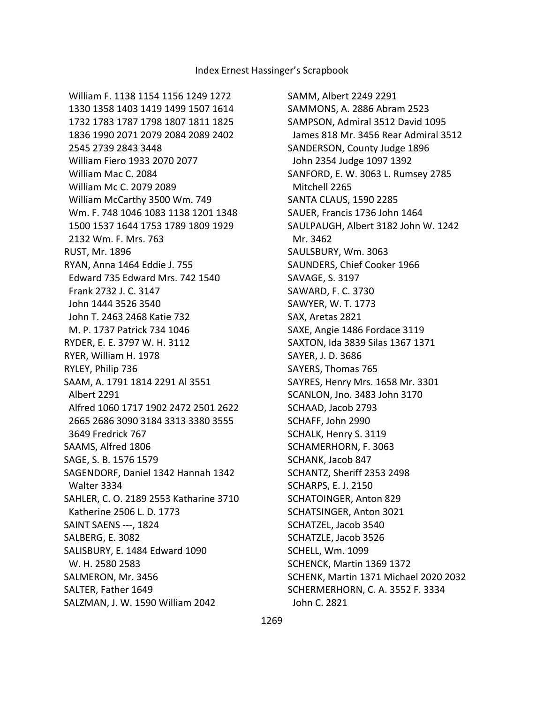William F. 1138 1154 1156 1249 1272 1330 1358 1403 1419 1499 1507 1614 1732 1783 1787 1798 1807 1811 1825 1836 1990 2071 2079 2084 2089 2402 2545 2739 2843 3448 William Fiero 1933 2070 2077 William Mac C. 2084 William Mc C. 2079 2089 William McCarthy 3500 Wm. 749 Wm. F. 748 1046 1083 1138 1201 1348 1500 1537 1644 1753 1789 1809 1929 2132 Wm. F. Mrs. 763 RUST, Mr. 1896 RYAN, Anna 1464 Eddie J. 755 Edward 735 Edward Mrs. 742 1540 Frank 2732 J. C. 3147 John 1444 3526 3540 John T. 2463 2468 Katie 732 M. P. 1737 Patrick 734 1046 RYDER, E. E. 3797 W. H. 3112 RYER, William H. 1978 RYLEY, Philip 736 SAAM, A. 1791 1814 2291 Al 3551 Albert 2291 Alfred 1060 1717 1902 2472 2501 2622 2665 2686 3090 3184 3313 3380 3555 3649 Fredrick 767 SAAMS, Alfred 1806 SAGE, S. B. 1576 1579 SAGENDORF, Daniel 1342 Hannah 1342 Walter 3334 SAHLER, C. O. 2189 2553 Katharine 3710 Katherine 2506 L. D. 1773 SAINT SAENS ---, 1824 SALBERG, E. 3082 SALISBURY, E. 1484 Edward 1090 W. H. 2580 2583 SALMERON, Mr. 3456 SALTER, Father 1649 SALZMAN, J. W. 1590 William 2042

SAMM, Albert 2249 2291 SAMMONS, A. 2886 Abram 2523 SAMPSON, Admiral 3512 David 1095 James 818 Mr. 3456 Rear Admiral 3512 SANDERSON, County Judge 1896 John 2354 Judge 1097 1392 SANFORD, E. W. 3063 L. Rumsey 2785 Mitchell 2265 SANTA CLAUS, 1590 2285 SAUER, Francis 1736 John 1464 SAULPAUGH, Albert 3182 John W. 1242 Mr. 3462 SAULSBURY, Wm. 3063 SAUNDERS, Chief Cooker 1966 SAVAGE, S. 3197 SAWARD, F. C. 3730 SAWYER, W. T. 1773 SAX, Aretas 2821 SAXE, Angie 1486 Fordace 3119 SAXTON, Ida 3839 Silas 1367 1371 SAYER, J. D. 3686 SAYERS, Thomas 765 SAYRES, Henry Mrs. 1658 Mr. 3301 SCANLON, Jno. 3483 John 3170 SCHAAD, Jacob 2793 SCHAFF, John 2990 SCHALK, Henry S. 3119 SCHAMERHORN, F. 3063 SCHANK, Jacob 847 SCHANTZ, Sheriff 2353 2498 SCHARPS, E. J. 2150 SCHATOINGER, Anton 829 SCHATSINGER, Anton 3021 SCHATZEL, Jacob 3540 SCHATZLE, Jacob 3526 SCHELL, Wm. 1099 SCHENCK, Martin 1369 1372 SCHENK, Martin 1371 Michael 2020 2032 SCHERMERHORN, C. A. 3552 F. 3334 John C. 2821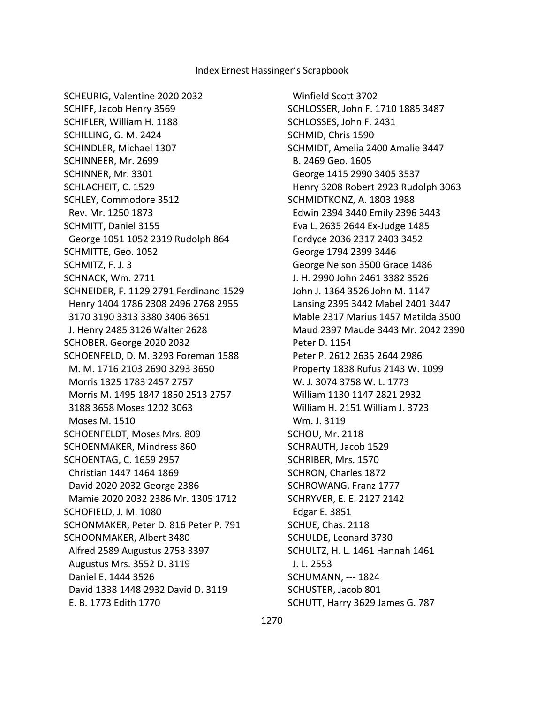SCHEURIG, Valentine 2020 2032 SCHIFF, Jacob Henry 3569 SCHIFLER, William H. 1188 SCHILLING, G. M. 2424 SCHINDLER, Michael 1307 SCHINNEER, Mr. 2699 SCHINNER, Mr. 3301 SCHLACHEIT, C. 1529 SCHLEY, Commodore 3512 Rev. Mr. 1250 1873 SCHMITT, Daniel 3155 George 1051 1052 2319 Rudolph 864 SCHMITTE, Geo. 1052 SCHMITZ, F. J. 3 SCHNACK, Wm. 2711 SCHNEIDER, F. 1129 2791 Ferdinand 1529 Henry 1404 1786 2308 2496 2768 2955 3170 3190 3313 3380 3406 3651 J. Henry 2485 3126 Walter 2628 SCHOBER, George 2020 2032 SCHOENFELD, D. M. 3293 Foreman 1588 M. M. 1716 2103 2690 3293 3650 Morris 1325 1783 2457 2757 Morris M. 1495 1847 1850 2513 2757 3188 3658 Moses 1202 3063 Moses M. 1510 SCHOENFELDT, Moses Mrs. 809 SCHOENMAKER, Mindress 860 SCHOENTAG, C. 1659 2957 Christian 1447 1464 1869 David 2020 2032 George 2386 Mamie 2020 2032 2386 Mr. 1305 1712 SCHOFIELD, J. M. 1080 SCHONMAKER, Peter D. 816 Peter P. 791 SCHOONMAKER, Albert 3480 Alfred 2589 Augustus 2753 3397 Augustus Mrs. 3552 D. 3119 Daniel E. 1444 3526 David 1338 1448 2932 David D. 3119 E. B. 1773 Edith 1770

 Winfield Scott 3702 SCHLOSSER, John F. 1710 1885 3487 SCHLOSSES, John F. 2431 SCHMID, Chris 1590 SCHMIDT, Amelia 2400 Amalie 3447 B. 2469 Geo. 1605 George 1415 2990 3405 3537 Henry 3208 Robert 2923 Rudolph 3063 SCHMIDTKONZ, A. 1803 1988 Edwin 2394 3440 Emily 2396 3443 Eva L. 2635 2644 Ex-Judge 1485 Fordyce 2036 2317 2403 3452 George 1794 2399 3446 George Nelson 3500 Grace 1486 J. H. 2990 John 2461 3382 3526 John J. 1364 3526 John M. 1147 Lansing 2395 3442 Mabel 2401 3447 Mable 2317 Marius 1457 Matilda 3500 Maud 2397 Maude 3443 Mr. 2042 2390 Peter D. 1154 Peter P. 2612 2635 2644 2986 Property 1838 Rufus 2143 W. 1099 W. J. 3074 3758 W. L. 1773 William 1130 1147 2821 2932 William H. 2151 William J. 3723 Wm. J. 3119 SCHOU, Mr. 2118 SCHRAUTH, Jacob 1529 SCHRIBER, Mrs. 1570 SCHRON, Charles 1872 SCHROWANG, Franz 1777 SCHRYVER, E. E. 2127 2142 Edgar E. 3851 SCHUE, Chas. 2118 SCHULDE, Leonard 3730 SCHULTZ, H. L. 1461 Hannah 1461 J. L. 2553 SCHUMANN, --- 1824 SCHUSTER, Jacob 801 SCHUTT, Harry 3629 James G. 787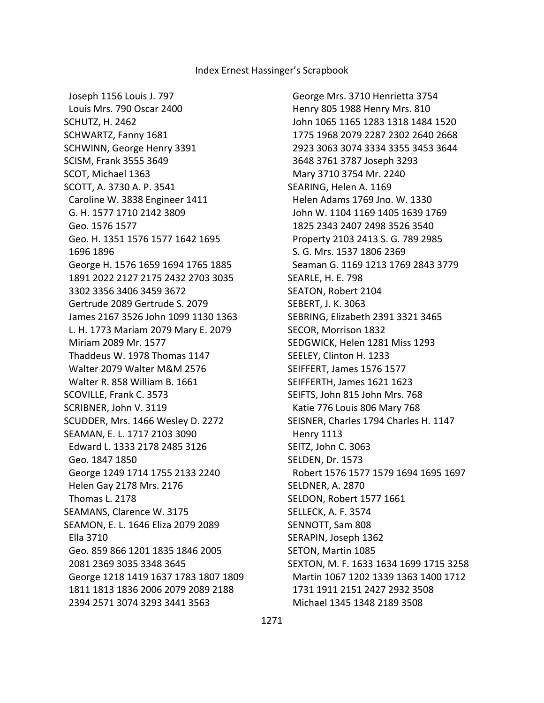Joseph 1156 Louis J. 797 Louis Mrs. 790 Oscar 2400 SCHUTZ, H. 2462 SCHWARTZ, Fanny 1681 SCHWINN, George Henry 3391 SCISM, Frank 3555 3649 SCOT, Michael 1363 SCOTT, A. 3730 A. P. 3541 Caroline W. 3838 Engineer 1411 G. H. 1577 1710 2142 3809 Geo. 1576 1577 Geo. H. 1351 1576 1577 1642 1695 1696 1896 George H. 1576 1659 1694 1765 1885 1891 2022 2127 2175 2432 2703 3035 3302 3356 3406 3459 3672 Gertrude 2089 Gertrude S. 2079 James 2167 3526 John 1099 1130 1363 L. H. 1773 Mariam 2079 Mary E. 2079 Miriam 2089 Mr. 1577 Thaddeus W. 1978 Thomas 1147 Walter 2079 Walter M&M 2576 Walter R. 858 William B. 1661 SCOVILLE, Frank C. 3573 SCRIBNER, John V. 3119 SCUDDER, Mrs. 1466 Wesley D. 2272 SEAMAN, E. L. 1717 2103 3090 Edward L. 1333 2178 2485 3126 Geo. 1847 1850 George 1249 1714 1755 2133 2240 Helen Gay 2178 Mrs. 2176 Thomas L. 2178 SEAMANS, Clarence W. 3175 SEAMON, E. L. 1646 Eliza 2079 2089 Ella 3710 Geo. 859 866 1201 1835 1846 2005 2081 2369 3035 3348 3645 George 1218 1419 1637 1783 1807 1809 1811 1813 1836 2006 2079 2089 2188 2394 2571 3074 3293 3441 3563

 George Mrs. 3710 Henrietta 3754 Henry 805 1988 Henry Mrs. 810 John 1065 1165 1283 1318 1484 1520 1775 1968 2079 2287 2302 2640 2668 2923 3063 3074 3334 3355 3453 3644 3648 3761 3787 Joseph 3293 Mary 3710 3754 Mr. 2240 SEARING, Helen A. 1169 Helen Adams 1769 Jno. W. 1330 John W. 1104 1169 1405 1639 1769 1825 2343 2407 2498 3526 3540 Property 2103 2413 S. G. 789 2985 S. G. Mrs. 1537 1806 2369 Seaman G. 1169 1213 1769 2843 3779 SEARLE, H. E. 798 SEATON, Robert 2104 SEBERT, J. K. 3063 SEBRING, Elizabeth 2391 3321 3465 SECOR, Morrison 1832 SEDGWICK, Helen 1281 Miss 1293 SEELEY, Clinton H. 1233 SEIFFERT, James 1576 1577 SEIFFERTH, James 1621 1623 SEIFTS, John 815 John Mrs. 768 Katie 776 Louis 806 Mary 768 SEISNER, Charles 1794 Charles H. 1147 Henry 1113 SEITZ, John C. 3063 SELDEN, Dr. 1573 Robert 1576 1577 1579 1694 1695 1697 SELDNER, A. 2870 SELDON, Robert 1577 1661 SELLECK, A. F. 3574 SENNOTT, Sam 808 SERAPIN, Joseph 1362 SETON, Martin 1085 SEXTON, M. F. 1633 1634 1699 1715 3258 Martin 1067 1202 1339 1363 1400 1712 1731 1911 2151 2427 2932 3508 Michael 1345 1348 2189 3508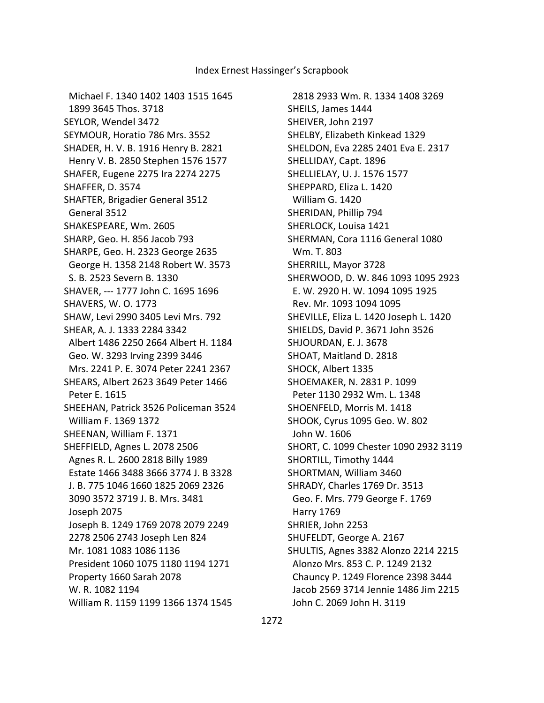Michael F. 1340 1402 1403 1515 1645 1899 3645 Thos. 3718 SEYLOR, Wendel 3472 SEYMOUR, Horatio 786 Mrs. 3552 SHADER, H. V. B. 1916 Henry B. 2821 Henry V. B. 2850 Stephen 1576 1577 SHAFER, Eugene 2275 Ira 2274 2275 SHAFFER, D. 3574 SHAFTER, Brigadier General 3512 General 3512 SHAKESPEARE, Wm. 2605 SHARP, Geo. H. 856 Jacob 793 SHARPE, Geo. H. 2323 George 2635 George H. 1358 2148 Robert W. 3573 S. B. 2523 Severn B. 1330 SHAVER, --- 1777 John C. 1695 1696 SHAVERS, W. O. 1773 SHAW, Levi 2990 3405 Levi Mrs. 792 SHEAR, A. J. 1333 2284 3342 Albert 1486 2250 2664 Albert H. 1184 Geo. W. 3293 Irving 2399 3446 Mrs. 2241 P. E. 3074 Peter 2241 2367 SHEARS, Albert 2623 3649 Peter 1466 Peter E. 1615 SHEEHAN, Patrick 3526 Policeman 3524 William F. 1369 1372 SHEENAN, William F. 1371 SHEFFIELD, Agnes L. 2078 2506 Agnes R. L. 2600 2818 Billy 1989 Estate 1466 3488 3666 3774 J. B 3328 J. B. 775 1046 1660 1825 2069 2326 3090 3572 3719 J. B. Mrs. 3481 Joseph 2075 Joseph B. 1249 1769 2078 2079 2249 2278 2506 2743 Joseph Len 824 Mr. 1081 1083 1086 1136 President 1060 1075 1180 1194 1271 Property 1660 Sarah 2078 W. R. 1082 1194 William R. 1159 1199 1366 1374 1545

 2818 2933 Wm. R. 1334 1408 3269 SHEILS, James 1444 SHEIVER, John 2197 SHELBY, Elizabeth Kinkead 1329 SHELDON, Eva 2285 2401 Eva E. 2317 SHELLIDAY, Capt. 1896 SHELLIELAY, U. J. 1576 1577 SHEPPARD, Eliza L. 1420 William G. 1420 SHERIDAN, Phillip 794 SHERLOCK, Louisa 1421 SHERMAN, Cora 1116 General 1080 Wm. T. 803 SHERRILL, Mayor 3728 SHERWOOD, D. W. 846 1093 1095 2923 E. W. 2920 H. W. 1094 1095 1925 Rev. Mr. 1093 1094 1095 SHEVILLE, Eliza L. 1420 Joseph L. 1420 SHIELDS, David P. 3671 John 3526 SHJOURDAN, E. J. 3678 SHOAT, Maitland D. 2818 SHOCK, Albert 1335 SHOEMAKER, N. 2831 P. 1099 Peter 1130 2932 Wm. L. 1348 SHOENFELD, Morris M. 1418 SHOOK, Cyrus 1095 Geo. W. 802 John W. 1606 SHORT, C. 1099 Chester 1090 2932 3119 SHORTILL, Timothy 1444 SHORTMAN, William 3460 SHRADY, Charles 1769 Dr. 3513 Geo. F. Mrs. 779 George F. 1769 Harry 1769 SHRIER, John 2253 SHUFELDT, George A. 2167 SHULTIS, Agnes 3382 Alonzo 2214 2215 Alonzo Mrs. 853 C. P. 1249 2132 Chauncy P. 1249 Florence 2398 3444 Jacob 2569 3714 Jennie 1486 Jim 2215 John C. 2069 John H. 3119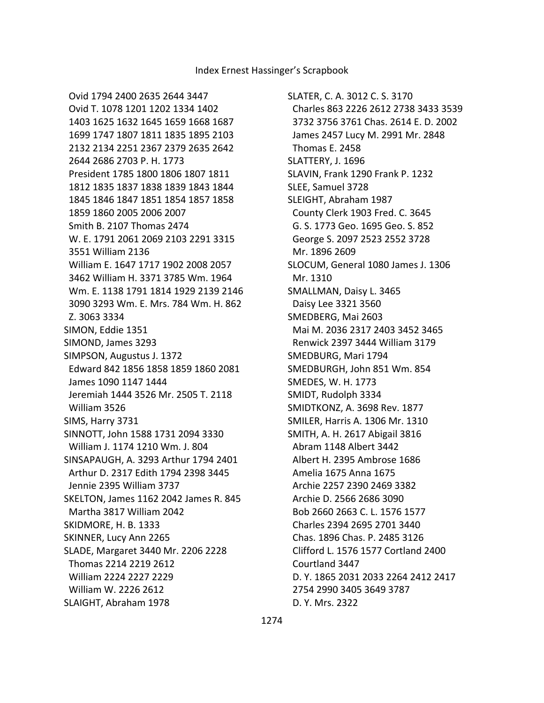SLATER, C. A. 3012 C. S. 3170 Charles 863 2226 2612 2738 3433 3539 3732 3756 3761 Chas. 2614 E. D. 2002 James 2457 Lucy M. 2991 Mr. 2848 Thomas E. 2458 SLATTERY, J. 1696 SLAVIN, Frank 1290 Frank P. 1232 SLEE, Samuel 3728 SLEIGHT, Abraham 1987 County Clerk 1903 Fred. C. 3645 G. S. 1773 Geo. 1695 Geo. S. 852 George S. 2097 2523 2552 3728 Mr. 1896 2609 SLOCUM, General 1080 James J. 1306 Mr. 1310 SMALLMAN, Daisy L. 3465 Daisy Lee 3321 3560 SMEDBERG, Mai 2603 Mai M. 2036 2317 2403 3452 3465 Renwick 2397 3444 William 3179 SMEDBURG, Mari 1794 SMEDBURGH, John 851 Wm. 854 SMEDES, W. H. 1773 SMIDT, Rudolph 3334 SMIDTKONZ, A. 3698 Rev. 1877 SMILER, Harris A. 1306 Mr. 1310 SMITH, A. H. 2617 Abigail 3816 Abram 1148 Albert 3442 Albert H. 2395 Ambrose 1686 Amelia 1675 Anna 1675 Archie 2257 2390 2469 3382 Archie D. 2566 2686 3090 Bob 2660 2663 C. L. 1576 1577 Charles 2394 2695 2701 3440 Chas. 1896 Chas. P. 2485 3126 Clifford L. 1576 1577 Cortland 2400 Courtland 3447 D. Y. 1865 2031 2033 2264 2412 2417 2754 2990 3405 3649 3787 D. Y. Mrs. 2322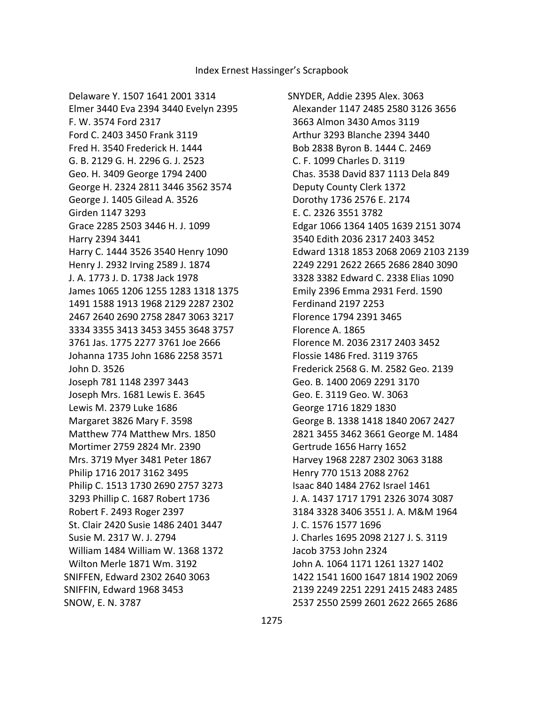Delaware Y. 1507 1641 2001 3314 Elmer 3440 Eva 2394 3440 Evelyn 2395 F. W. 3574 Ford 2317 Ford C. 2403 3450 Frank 3119 Fred H. 3540 Frederick H. 1444 G. B. 2129 G. H. 2296 G. J. 2523 Geo. H. 3409 George 1794 2400 George H. 2324 2811 3446 3562 3574 George J. 1405 Gilead A. 3526 Girden 1147 3293 Grace 2285 2503 3446 H. J. 1099 Harry 2394 3441 Harry C. 1444 3526 3540 Henry 1090 Henry J. 2932 Irving 2589 J. 1874 J. A. 1773 J. D. 1738 Jack 1978 James 1065 1206 1255 1283 1318 1375 1491 1588 1913 1968 2129 2287 2302 2467 2640 2690 2758 2847 3063 3217 3334 3355 3413 3453 3455 3648 3757 3761 Jas. 1775 2277 3761 Joe 2666 Johanna 1735 John 1686 2258 3571 John D. 3526 Joseph 781 1148 2397 3443 Joseph Mrs. 1681 Lewis E. 3645 Lewis M. 2379 Luke 1686 Margaret 3826 Mary F. 3598 Matthew 774 Matthew Mrs. 1850 Mortimer 2759 2824 Mr. 2390 Mrs. 3719 Myer 3481 Peter 1867 Philip 1716 2017 3162 3495 Philip C. 1513 1730 2690 2757 3273 3293 Phillip C. 1687 Robert 1736 Robert F. 2493 Roger 2397 St. Clair 2420 Susie 1486 2401 3447 Susie M. 2317 W. J. 2794 William 1484 William W. 1368 1372 Wilton Merle 1871 Wm. 3192 SNIFFEN, Edward 2302 2640 3063 SNIFFIN, Edward 1968 3453 SNOW, E. N. 3787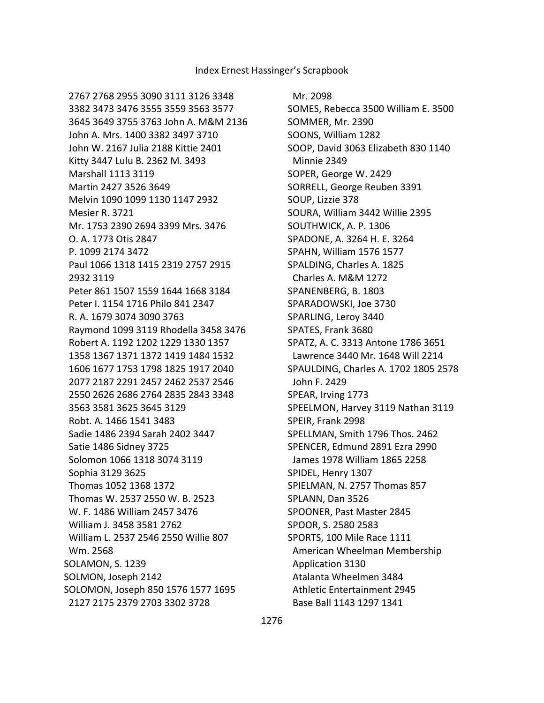Mr. 2098 SOMES, Rebecca 3500 William E. 3500 SOMMER, Mr. 2390 SOONS, William 1282 SOOP, David 3063 Elizabeth 830 1140 Minnie 2349 SOPER, George W. 2429 SORRELL, George Reuben 3391 SOUP, Lizzie 378 SOURA, William 3442 Willie 2395 SOUTHWICK, A. P. 1306 SPADONE, A. 3264 H. E. 3264 SPAHN, William 1576 1577 SPALDING, Charles A. 1825 Charles A. M&M 1272 SPANENBERG, B. 1803 SPARADOWSKI, Joe 3730 SPARLING, Leroy 3440 SPATES, Frank 3680 SPATZ, A. C. 3313 Antone 1786 3651 Lawrence 3440 Mr. 1648 Will 2214 SPAULDING, Charles A. 1702 1805 2578 John F. 2429 SPEAR, Irving 1773 SPEELMON, Harvey 3119 Nathan 3119 SPEIR, Frank 2998 SPELLMAN, Smith 1796 Thos. 2462 SPENCER, Edmund 2891 Ezra 2990 James 1978 William 1865 2258 SPIDEL, Henry 1307 SPIELMAN, N. 2757 Thomas 857 SPLANN, Dan 3526 SPOONER, Past Master 2845 SPOOR, S. 2580 2583 SPORTS, 100 Mile Race 1111 American Wheelman Membership Application 3130 Atalanta Wheelmen 3484 Athletic Entertainment 2945 Base Ball 1143 1297 1341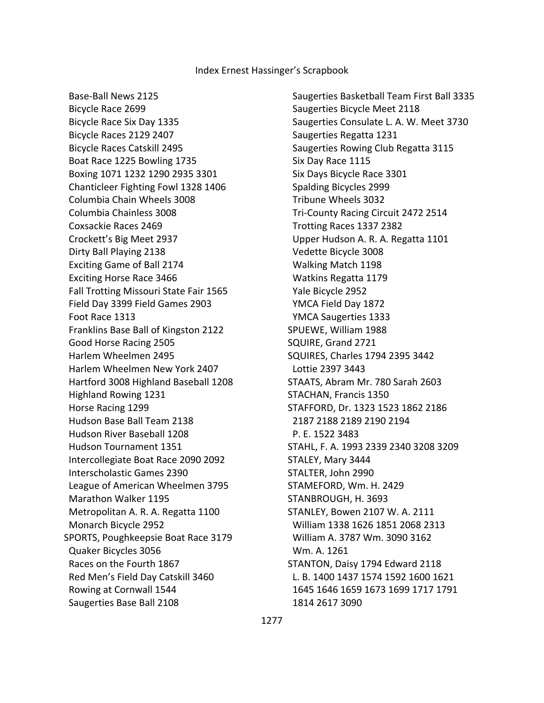Base-Ball News 2125 Bicycle Race 2699 Bicycle Race Six Day 1335 Bicycle Races 2129 2407 Bicycle Races Catskill 2495 Boat Race 1225 Bowling 1735 Boxing 1071 1232 1290 2935 3301 Chanticleer Fighting Fowl 1328 1406 Columbia Chain Wheels 3008 Columbia Chainless 3008 Coxsackie Races 2469 Crockett's Big Meet 2937 Dirty Ball Playing 2138 Exciting Game of Ball 2174 Exciting Horse Race 3466 Fall Trotting Missouri State Fair 1565 Field Day 3399 Field Games 2903 Foot Race 1313 Franklins Base Ball of Kingston 2122 Good Horse Racing 2505 Harlem Wheelmen 2495 Harlem Wheelmen New York 2407 Hartford 3008 Highland Baseball 1208 Highland Rowing 1231 Horse Racing 1299 Hudson Base Ball Team 2138 Hudson River Baseball 1208 Hudson Tournament 1351 Intercollegiate Boat Race 2090 2092 Interscholastic Games 2390 League of American Wheelmen 3795 Marathon Walker 1195 Metropolitan A. R. A. Regatta 1100 Monarch Bicycle 2952 SPORTS, Poughkeepsie Boat Race 3179 Quaker Bicycles 3056 Races on the Fourth 1867 Red Men's Field Day Catskill 3460 Rowing at Cornwall 1544 Saugerties Base Ball 2108

 Saugerties Basketball Team First Ball 3335 Saugerties Bicycle Meet 2118 Saugerties Consulate L. A. W. Meet 3730 Saugerties Regatta 1231 Saugerties Rowing Club Regatta 3115 Six Day Race 1115 Six Days Bicycle Race 3301 Spalding Bicycles 2999 Tribune Wheels 3032 Tri-County Racing Circuit 2472 2514 Trotting Races 1337 2382 Upper Hudson A. R. A. Regatta 1101 Vedette Bicycle 3008 Walking Match 1198 Watkins Regatta 1179 Yale Bicycle 2952 YMCA Field Day 1872 YMCA Saugerties 1333 SPUEWE, William 1988 SQUIRE, Grand 2721 SQUIRES, Charles 1794 2395 3442 Lottie 2397 3443 STAATS, Abram Mr. 780 Sarah 2603 STACHAN, Francis 1350 STAFFORD, Dr. 1323 1523 1862 2186 2187 2188 2189 2190 2194 P. E. 1522 3483 STAHL, F. A. 1993 2339 2340 3208 3209 STALEY, Mary 3444 STALTER, John 2990 STAMEFORD, Wm. H. 2429 STANBROUGH, H. 3693 STANLEY, Bowen 2107 W. A. 2111 William 1338 1626 1851 2068 2313 William A. 3787 Wm. 3090 3162 Wm. A. 1261 STANTON, Daisy 1794 Edward 2118 L. B. 1400 1437 1574 1592 1600 1621 1645 1646 1659 1673 1699 1717 1791 1814 2617 3090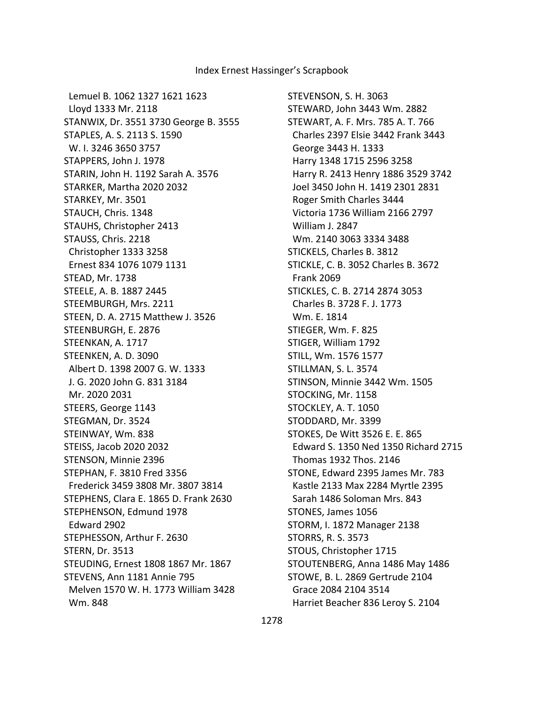Lemuel B. 1062 1327 1621 1623 Lloyd 1333 Mr. 2118 STANWIX, Dr. 3551 3730 George B. 3555 STAPLES, A. S. 2113 S. 1590 W. I. 3246 3650 3757 STAPPERS, John J. 1978 STARIN, John H. 1192 Sarah A. 3576 STARKER, Martha 2020 2032 STARKEY, Mr. 3501 STAUCH, Chris. 1348 STAUHS, Christopher 2413 STAUSS, Chris. 2218 Christopher 1333 3258 Ernest 834 1076 1079 1131 STEAD, Mr. 1738 STEELE, A. B. 1887 2445 STEEMBURGH, Mrs. 2211 STEEN, D. A. 2715 Matthew J. 3526 STEENBURGH, E. 2876 STEENKAN, A. 1717 STEENKEN, A. D. 3090 Albert D. 1398 2007 G. W. 1333 J. G. 2020 John G. 831 3184 Mr. 2020 2031 STEERS, George 1143 STEGMAN, Dr. 3524 STEINWAY, Wm. 838 STEISS, Jacob 2020 2032 STENSON, Minnie 2396 STEPHAN, F. 3810 Fred 3356 Frederick 3459 3808 Mr. 3807 3814 STEPHENS, Clara E. 1865 D. Frank 2630 STEPHENSON, Edmund 1978 Edward 2902 STEPHESSON, Arthur F. 2630 STERN, Dr. 3513 STEUDING, Ernest 1808 1867 Mr. 1867 STEVENS, Ann 1181 Annie 795 Melven 1570 W. H. 1773 William 3428 Wm. 848

STEVENSON, S. H. 3063 STEWARD, John 3443 Wm. 2882 STEWART, A. F. Mrs. 785 A. T. 766 Charles 2397 Elsie 3442 Frank 3443 George 3443 H. 1333 Harry 1348 1715 2596 3258 Harry R. 2413 Henry 1886 3529 3742 Joel 3450 John H. 1419 2301 2831 Roger Smith Charles 3444 Victoria 1736 William 2166 2797 William J. 2847 Wm. 2140 3063 3334 3488 STICKELS, Charles B. 3812 STICKLE, C. B. 3052 Charles B. 3672 Frank 2069 STICKLES, C. B. 2714 2874 3053 Charles B. 3728 F. J. 1773 Wm. E. 1814 STIEGER, Wm. F. 825 STIGER, William 1792 STILL, Wm. 1576 1577 STILLMAN, S. L. 3574 STINSON, Minnie 3442 Wm. 1505 STOCKING, Mr. 1158 STOCKLEY, A. T. 1050 STODDARD, Mr. 3399 STOKES, De Witt 3526 E. E. 865 Edward S. 1350 Ned 1350 Richard 2715 Thomas 1932 Thos. 2146 STONE, Edward 2395 James Mr. 783 Kastle 2133 Max 2284 Myrtle 2395 Sarah 1486 Soloman Mrs. 843 STONES, James 1056 STORM, I. 1872 Manager 2138 STORRS, R. S. 3573 STOUS, Christopher 1715 STOUTENBERG, Anna 1486 May 1486 STOWE, B. L. 2869 Gertrude 2104 Grace 2084 2104 3514 Harriet Beacher 836 Leroy S. 2104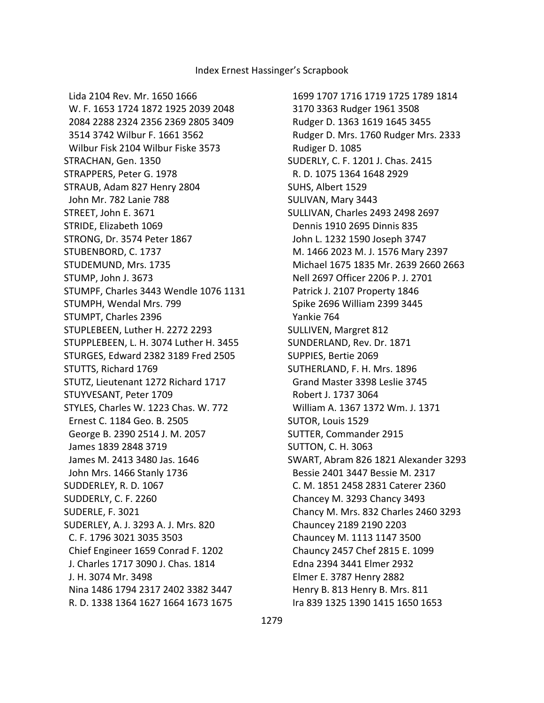Lida 2104 Rev. Mr. 1650 1666 W. F. 1653 1724 1872 1925 2039 2048 2084 2288 2324 2356 2369 2805 3409 3514 3742 Wilbur F. 1661 3562 Wilbur Fisk 2104 Wilbur Fiske 3573 STRACHAN, Gen. 1350 STRAPPERS, Peter G. 1978 STRAUB, Adam 827 Henry 2804 John Mr. 782 Lanie 788 STREET, John E. 3671 STRIDE, Elizabeth 1069 STRONG, Dr. 3574 Peter 1867 STUBENBORD, C. 1737 STUDEMUND, Mrs. 1735 STUMP, John J. 3673 STUMPF, Charles 3443 Wendle 1076 1131 STUMPH, Wendal Mrs. 799 STUMPT, Charles 2396 STUPLEBEEN, Luther H. 2272 2293 STUPPLEBEEN, L. H. 3074 Luther H. 3455 STURGES, Edward 2382 3189 Fred 2505 STUTTS, Richard 1769 STUTZ, Lieutenant 1272 Richard 1717 STUYVESANT, Peter 1709 STYLES, Charles W. 1223 Chas. W. 772 Ernest C. 1184 Geo. B. 2505 George B. 2390 2514 J. M. 2057 James 1839 2848 3719 James M. 2413 3480 Jas. 1646 John Mrs. 1466 Stanly 1736 SUDDERLEY, R. D. 1067 SUDDERLY, C. F. 2260 SUDERLE, F. 3021 SUDERLEY, A. J. 3293 A. J. Mrs. 820 C. F. 1796 3021 3035 3503 Chief Engineer 1659 Conrad F. 1202 J. Charles 1717 3090 J. Chas. 1814 J. H. 3074 Mr. 3498 Nina 1486 1794 2317 2402 3382 3447 R. D. 1338 1364 1627 1664 1673 1675

 1699 1707 1716 1719 1725 1789 1814 3170 3363 Rudger 1961 3508 Rudger D. 1363 1619 1645 3455 Rudger D. Mrs. 1760 Rudger Mrs. 2333 Rudiger D. 1085 SUDERLY, C. F. 1201 J. Chas. 2415 R. D. 1075 1364 1648 2929 SUHS, Albert 1529 SULIVAN, Mary 3443 SULLIVAN, Charles 2493 2498 2697 Dennis 1910 2695 Dinnis 835 John L. 1232 1590 Joseph 3747 M. 1466 2023 M. J. 1576 Mary 2397 Michael 1675 1835 Mr. 2639 2660 2663 Nell 2697 Officer 2206 P. J. 2701 Patrick J. 2107 Property 1846 Spike 2696 William 2399 3445 Yankie 764 SULLIVEN, Margret 812 SUNDERLAND, Rev. Dr. 1871 SUPPIES, Bertie 2069 SUTHERLAND, F. H. Mrs. 1896 Grand Master 3398 Leslie 3745 Robert J. 1737 3064 William A. 1367 1372 Wm. J. 1371 SUTOR, Louis 1529 SUTTER, Commander 2915 SUTTON, C. H. 3063 SWART, Abram 826 1821 Alexander 3293 Bessie 2401 3447 Bessie M. 2317 C. M. 1851 2458 2831 Caterer 2360 Chancey M. 3293 Chancy 3493 Chancy M. Mrs. 832 Charles 2460 3293 Chauncey 2189 2190 2203 Chauncey M. 1113 1147 3500 Chauncy 2457 Chef 2815 E. 1099 Edna 2394 3441 Elmer 2932 Elmer E. 3787 Henry 2882 Henry B. 813 Henry B. Mrs. 811 Ira 839 1325 1390 1415 1650 1653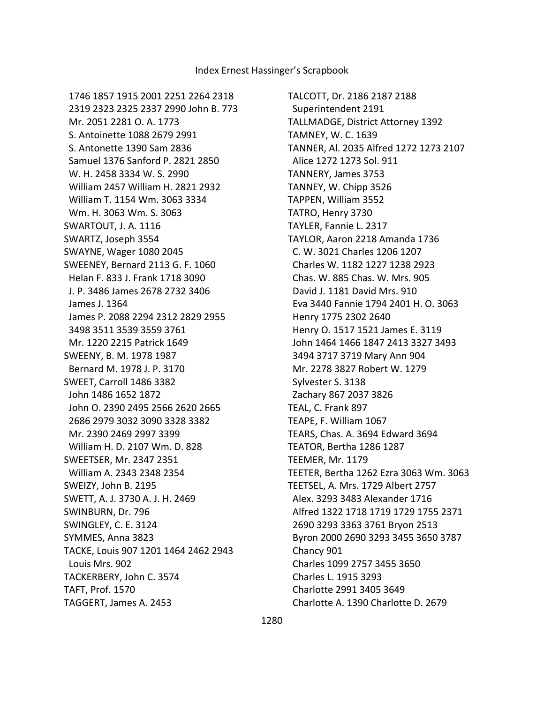1746 1857 1915 2001 2251 2264 2318 2319 2323 2325 2337 2990 John B. 773 Mr. 2051 2281 O. A. 1773 S. Antoinette 1088 2679 2991 S. Antonette 1390 Sam 2836 Samuel 1376 Sanford P. 2821 2850 W. H. 2458 3334 W. S. 2990 William 2457 William H. 2821 2932 William T. 1154 Wm. 3063 3334 Wm. H. 3063 Wm. S. 3063 SWARTOUT, J. A. 1116 SWARTZ, Joseph 3554 SWAYNE, Wager 1080 2045 SWEENEY, Bernard 2113 G. F. 1060 Helan F. 833 J. Frank 1718 3090 J. P. 3486 James 2678 2732 3406 James J. 1364 James P. 2088 2294 2312 2829 2955 3498 3511 3539 3559 3761 Mr. 1220 2215 Patrick 1649 SWEENY, B. M. 1978 1987 Bernard M. 1978 J. P. 3170 SWEET, Carroll 1486 3382 John 1486 1652 1872 John O. 2390 2495 2566 2620 2665 2686 2979 3032 3090 3328 3382 Mr. 2390 2469 2997 3399 William H. D. 2107 Wm. D. 828 SWEETSER, Mr. 2347 2351 William A. 2343 2348 2354 SWEIZY, John B. 2195 SWETT, A. J. 3730 A. J. H. 2469 SWINBURN, Dr. 796 SWINGLEY, C. E. 3124 SYMMES, Anna 3823 TACKE, Louis 907 1201 1464 2462 2943 Louis Mrs. 902 TACKERBERY, John C. 3574 TAFT, Prof. 1570 TAGGERT, James A. 2453

TALCOTT, Dr. 2186 2187 2188 Superintendent 2191 TALLMADGE, District Attorney 1392 TAMNEY, W. C. 1639 TANNER, Al. 2035 Alfred 1272 1273 2107 Alice 1272 1273 Sol. 911 TANNERY, James 3753 TANNEY, W. Chipp 3526 TAPPEN, William 3552 TATRO, Henry 3730 TAYLER, Fannie L. 2317 TAYLOR, Aaron 2218 Amanda 1736 C. W. 3021 Charles 1206 1207 Charles W. 1182 1227 1238 2923 Chas. W. 885 Chas. W. Mrs. 905 David J. 1181 David Mrs. 910 Eva 3440 Fannie 1794 2401 H. O. 3063 Henry 1775 2302 2640 Henry O. 1517 1521 James E. 3119 John 1464 1466 1847 2413 3327 3493 3494 3717 3719 Mary Ann 904 Mr. 2278 3827 Robert W. 1279 Sylvester S. 3138 Zachary 867 2037 3826 TEAL, C. Frank 897 TEAPE, F. William 1067 TEARS, Chas. A. 3694 Edward 3694 TEATOR, Bertha 1286 1287 TEEMER, Mr. 1179 TEETER, Bertha 1262 Ezra 3063 Wm. 3063 TEETSEL, A. Mrs. 1729 Albert 2757 Alex. 3293 3483 Alexander 1716 Alfred 1322 1718 1719 1729 1755 2371 2690 3293 3363 3761 Bryon 2513 Byron 2000 2690 3293 3455 3650 3787 Chancy 901 Charles 1099 2757 3455 3650 Charles L. 1915 3293 Charlotte 2991 3405 3649 Charlotte A. 1390 Charlotte D. 2679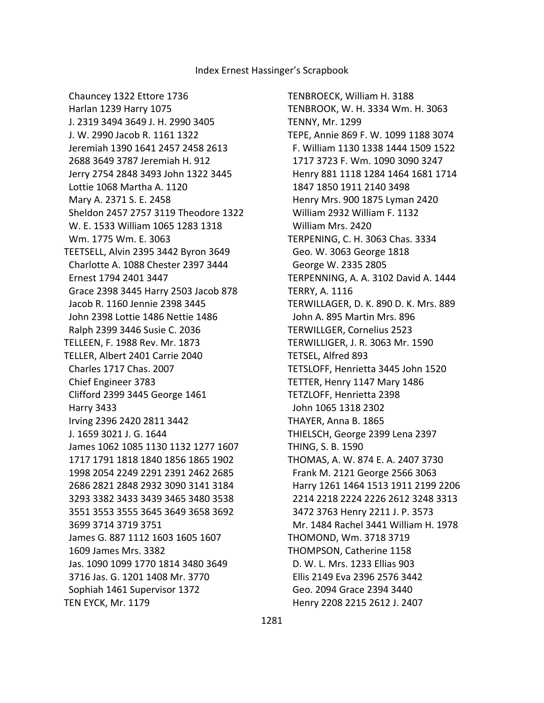TENBROECK, William H. 3188 TENBROOK, W. H. 3334 Wm. H. 3063 TENNY, Mr. 1299 TEPE, Annie 869 F. W. 1099 1188 3074 F. William 1130 1338 1444 1509 1522 1717 3723 F. Wm. 1090 3090 3247 Henry 881 1118 1284 1464 1681 1714 1847 1850 1911 2140 3498 Henry Mrs. 900 1875 Lyman 2420 William 2932 William F. 1132 William Mrs. 2420 TERPENING, C. H. 3063 Chas. 3334 Geo. W. 3063 George 1818 George W. 2335 2805 TERPENNING, A. A. 3102 David A. 1444 TERRY, A. 1116 TERWILLAGER, D. K. 890 D. K. Mrs. 889 John A. 895 Martin Mrs. 896 TERWILLGER, Cornelius 2523 TERWILLIGER, J. R. 3063 Mr. 1590 TETSEL, Alfred 893 TETSLOFF, Henrietta 3445 John 1520 TETTER, Henry 1147 Mary 1486 TETZLOFF, Henrietta 2398 John 1065 1318 2302 THAYER, Anna B. 1865 THIELSCH, George 2399 Lena 2397 THING, S. B. 1590 THOMAS, A. W. 874 E. A. 2407 3730 Frank M. 2121 George 2566 3063 Harry 1261 1464 1513 1911 2199 2206 2214 2218 2224 2226 2612 3248 3313 3472 3763 Henry 2211 J. P. 3573 Mr. 1484 Rachel 3441 William H. 1978 THOMOND, Wm. 3718 3719 THOMPSON, Catherine 1158 D. W. L. Mrs. 1233 Ellias 903 Ellis 2149 Eva 2396 2576 3442 Geo. 2094 Grace 2394 3440 Henry 2208 2215 2612 J. 2407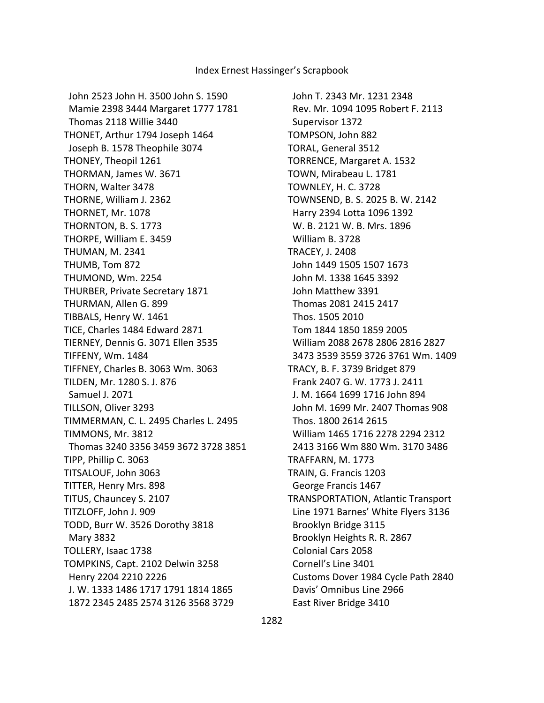John 2523 John H. 3500 John S. 1590 Mamie 2398 3444 Margaret 1777 1781 Thomas 2118 Willie 3440 THONET, Arthur 1794 Joseph 1464 Joseph B. 1578 Theophile 3074 THONEY, Theopil 1261 THORMAN, James W. 3671 THORN, Walter 3478 THORNE, William J. 2362 THORNET, Mr. 1078 THORNTON, B. S. 1773 THORPE, William E. 3459 THUMAN, M. 2341 THUMB, Tom 872 THUMOND, Wm. 2254 THURBER, Private Secretary 1871 THURMAN, Allen G. 899 TIBBALS, Henry W. 1461 TICE, Charles 1484 Edward 2871 TIERNEY, Dennis G. 3071 Ellen 3535 TIFFENY, Wm. 1484 TIFFNEY, Charles B. 3063 Wm. 3063 TILDEN, Mr. 1280 S. J. 876 Samuel J. 2071 TILLSON, Oliver 3293 TIMMERMAN, C. L. 2495 Charles L. 2495 TIMMONS, Mr. 3812 Thomas 3240 3356 3459 3672 3728 3851 TIPP, Phillip C. 3063 TITSALOUF, John 3063 TITTER, Henry Mrs. 898 TITUS, Chauncey S. 2107 TITZLOFF, John J. 909 TODD, Burr W. 3526 Dorothy 3818 Mary 3832 TOLLERY, Isaac 1738 TOMPKINS, Capt. 2102 Delwin 3258 Henry 2204 2210 2226 J. W. 1333 1486 1717 1791 1814 1865 1872 2345 2485 2574 3126 3568 3729

 John T. 2343 Mr. 1231 2348 Rev. Mr. 1094 1095 Robert F. 2113 Supervisor 1372 TOMPSON, John 882 TORAL, General 3512 TORRENCE, Margaret A. 1532 TOWN, Mirabeau L. 1781 TOWNLEY, H. C. 3728 TOWNSEND, B. S. 2025 B. W. 2142 Harry 2394 Lotta 1096 1392 W. B. 2121 W. B. Mrs. 1896 William B. 3728 TRACEY, J. 2408 John 1449 1505 1507 1673 John M. 1338 1645 3392 John Matthew 3391 Thomas 2081 2415 2417 Thos. 1505 2010 Tom 1844 1850 1859 2005 William 2088 2678 2806 2816 2827 3473 3539 3559 3726 3761 Wm. 1409 TRACY, B. F. 3739 Bridget 879 Frank 2407 G. W. 1773 J. 2411 J. M. 1664 1699 1716 John 894 John M. 1699 Mr. 2407 Thomas 908 Thos. 1800 2614 2615 William 1465 1716 2278 2294 2312 2413 3166 Wm 880 Wm. 3170 3486 TRAFFARN, M. 1773 TRAIN, G. Francis 1203 George Francis 1467 TRANSPORTATION, Atlantic Transport Line 1971 Barnes' White Flyers 3136 Brooklyn Bridge 3115 Brooklyn Heights R. R. 2867 Colonial Cars 2058 Cornell's Line 3401 Customs Dover 1984 Cycle Path 2840 Davis' Omnibus Line 2966 East River Bridge 3410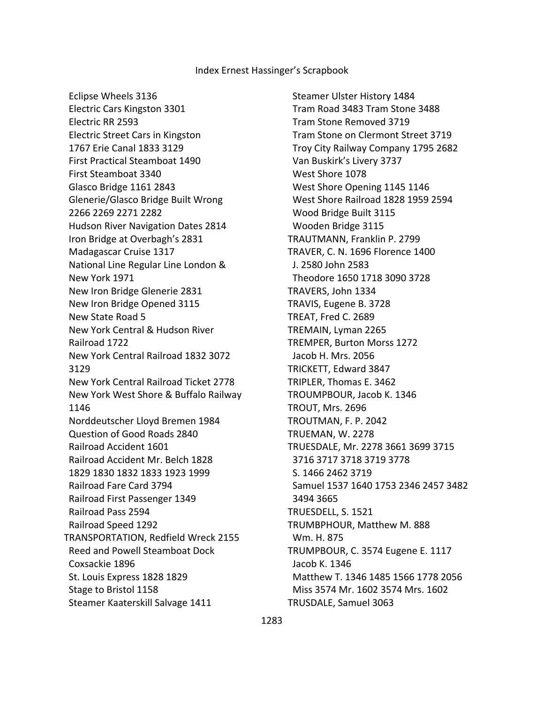Eclipse Wheels 3136 Electric Cars Kingston 3301 Electric RR 2593 Electric Street Cars in Kingston 1767 Erie Canal 1833 3129 First Practical Steamboat 1490 First Steamboat 3340 Glasco Bridge 1161 2843 Glenerie/Glasco Bridge Built Wrong 2266 2269 2271 2282 Hudson River Navigation Dates 2814 Iron Bridge at Overbagh's 2831 Madagascar Cruise 1317 National Line Regular Line London & New York 1971 New Iron Bridge Glenerie 2831 New Iron Bridge Opened 3115 New State Road 5 New York Central & Hudson River Railroad 1722 New York Central Railroad 1832 3072 3129 New York Central Railroad Ticket 2778 New York West Shore & Buffalo Railway 1146 Norddeutscher Lloyd Bremen 1984 Question of Good Roads 2840 Railroad Accident 1601 Railroad Accident Mr. Belch 1828 1829 1830 1832 1833 1923 1999 Railroad Fare Card 3794 Railroad First Passenger 1349 Railroad Pass 2594 Railroad Speed 1292 TRANSPORTATION, Redfield Wreck 2155 Reed and Powell Steamboat Dock Coxsackie 1896 St. Louis Express 1828 1829 Stage to Bristol 1158 Steamer Kaaterskill Salvage 1411

 Steamer Ulster History 1484 Tram Road 3483 Tram Stone 3488 Tram Stone Removed 3719 Tram Stone on Clermont Street 3719 Troy City Railway Company 1795 2682 Van Buskirk's Livery 3737 West Shore 1078 West Shore Opening 1145 1146 West Shore Railroad 1828 1959 2594 Wood Bridge Built 3115 Wooden Bridge 3115 TRAUTMANN, Franklin P. 2799 TRAVER, C. N. 1696 Florence 1400 J. 2580 John 2583 Theodore 1650 1718 3090 3728 TRAVERS, John 1334 TRAVIS, Eugene B. 3728 TREAT, Fred C. 2689 TREMAIN, Lyman 2265 TREMPER, Burton Morss 1272 Jacob H. Mrs. 2056 TRICKETT, Edward 3847 TRIPLER, Thomas E. 3462 TROUMPBOUR, Jacob K. 1346 TROUT, Mrs. 2696 TROUTMAN, F. P. 2042 TRUEMAN, W. 2278 TRUESDALE, Mr. 2278 3661 3699 3715 3716 3717 3718 3719 3778 S. 1466 2462 3719 Samuel 1537 1640 1753 2346 2457 3482 3494 3665 TRUESDELL, S. 1521 TRUMBPHOUR, Matthew M. 888 Wm. H. 875 TRUMPBOUR, C. 3574 Eugene E. 1117 Jacob K. 1346 Matthew T. 1346 1485 1566 1778 2056 Miss 3574 Mr. 1602 3574 Mrs. 1602 TRUSDALE, Samuel 3063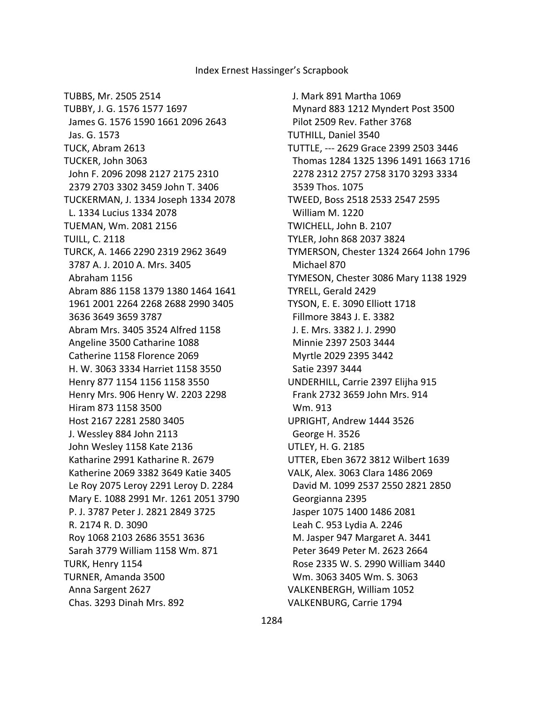TUBBS, Mr. 2505 2514 TUBBY, J. G. 1576 1577 1697 James G. 1576 1590 1661 2096 2643 Jas. G. 1573 TUCK, Abram 2613 TUCKER, John 3063 John F. 2096 2098 2127 2175 2310 2379 2703 3302 3459 John T. 3406 TUCKERMAN, J. 1334 Joseph 1334 2078 L. 1334 Lucius 1334 2078 TUEMAN, Wm. 2081 2156 TUILL, C. 2118 TURCK, A. 1466 2290 2319 2962 3649 3787 A. J. 2010 A. Mrs. 3405 Abraham 1156 Abram 886 1158 1379 1380 1464 1641 1961 2001 2264 2268 2688 2990 3405 3636 3649 3659 3787 Abram Mrs. 3405 3524 Alfred 1158 Angeline 3500 Catharine 1088 Catherine 1158 Florence 2069 H. W. 3063 3334 Harriet 1158 3550 Henry 877 1154 1156 1158 3550 Henry Mrs. 906 Henry W. 2203 2298 Hiram 873 1158 3500 Host 2167 2281 2580 3405 J. Wessley 884 John 2113 John Wesley 1158 Kate 2136 Katharine 2991 Katharine R. 2679 Katherine 2069 3382 3649 Katie 3405 Le Roy 2075 Leroy 2291 Leroy D. 2284 Mary E. 1088 2991 Mr. 1261 2051 3790 P. J. 3787 Peter J. 2821 2849 3725 R. 2174 R. D. 3090 Roy 1068 2103 2686 3551 3636 Sarah 3779 William 1158 Wm. 871 TURK, Henry 1154 TURNER, Amanda 3500 Anna Sargent 2627 Chas. 3293 Dinah Mrs. 892

 J. Mark 891 Martha 1069 Mynard 883 1212 Myndert Post 3500 Pilot 2509 Rev. Father 3768 TUTHILL, Daniel 3540 TUTTLE, --- 2629 Grace 2399 2503 3446 Thomas 1284 1325 1396 1491 1663 1716 2278 2312 2757 2758 3170 3293 3334 3539 Thos. 1075 TWEED, Boss 2518 2533 2547 2595 William M. 1220 TWICHELL, John B. 2107 TYLER, John 868 2037 3824 TYMERSON, Chester 1324 2664 John 1796 Michael 870 TYMESON, Chester 3086 Mary 1138 1929 TYRELL, Gerald 2429 TYSON, E. E. 3090 Elliott 1718 Fillmore 3843 J. E. 3382 J. E. Mrs. 3382 J. J. 2990 Minnie 2397 2503 3444 Myrtle 2029 2395 3442 Satie 2397 3444 UNDERHILL, Carrie 2397 Elijha 915 Frank 2732 3659 John Mrs. 914 Wm. 913 UPRIGHT, Andrew 1444 3526 George H. 3526 UTLEY, H. G. 2185 UTTER, Eben 3672 3812 Wilbert 1639 VALK, Alex. 3063 Clara 1486 2069 David M. 1099 2537 2550 2821 2850 Georgianna 2395 Jasper 1075 1400 1486 2081 Leah C. 953 Lydia A. 2246 M. Jasper 947 Margaret A. 3441 Peter 3649 Peter M. 2623 2664 Rose 2335 W. S. 2990 William 3440 Wm. 3063 3405 Wm. S. 3063 VALKENBERGH, William 1052 VALKENBURG, Carrie 1794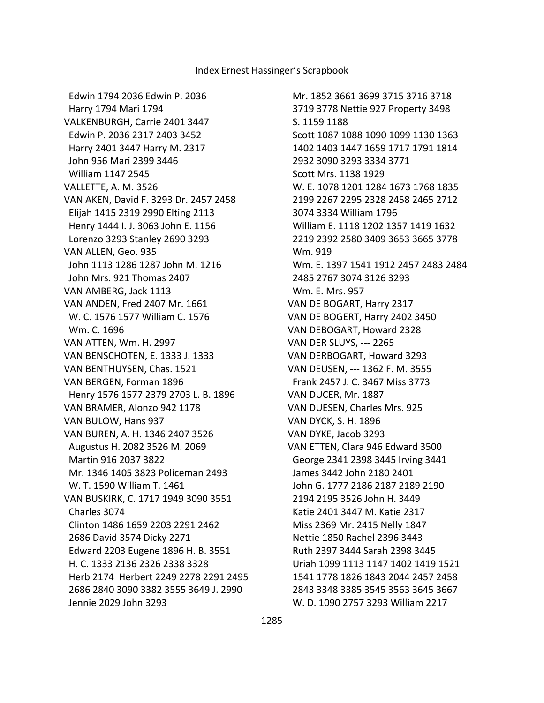Edwin 1794 2036 Edwin P. 2036 Harry 1794 Mari 1794 VALKENBURGH, Carrie 2401 3447 Edwin P. 2036 2317 2403 3452 Harry 2401 3447 Harry M. 2317 John 956 Mari 2399 3446 William 1147 2545 VALLETTE, A. M. 3526 VAN AKEN, David F. 3293 Dr. 2457 2458 Elijah 1415 2319 2990 Elting 2113 Henry 1444 I. J. 3063 John E. 1156 Lorenzo 3293 Stanley 2690 3293 VAN ALLEN, Geo. 935 John 1113 1286 1287 John M. 1216 John Mrs. 921 Thomas 2407 VAN AMBERG, Jack 1113 VAN ANDEN, Fred 2407 Mr. 1661 W. C. 1576 1577 William C. 1576 Wm. C. 1696 VAN ATTEN, Wm. H. 2997 VAN BENSCHOTEN, E. 1333 J. 1333 VAN BENTHUYSEN, Chas. 1521 VAN BERGEN, Forman 1896 Henry 1576 1577 2379 2703 L. B. 1896 VAN BRAMER, Alonzo 942 1178 VAN BULOW, Hans 937 VAN BUREN, A. H. 1346 2407 3526 Augustus H. 2082 3526 M. 2069 Martin 916 2037 3822 Mr. 1346 1405 3823 Policeman 2493 W. T. 1590 William T. 1461 VAN BUSKIRK, C. 1717 1949 3090 3551 Charles 3074 Clinton 1486 1659 2203 2291 2462 2686 David 3574 Dicky 2271 Edward 2203 Eugene 1896 H. B. 3551 H. C. 1333 2136 2326 2338 3328 Herb 2174 Herbert 2249 2278 2291 2495 2686 2840 3090 3382 3555 3649 J. 2990 Jennie 2029 John 3293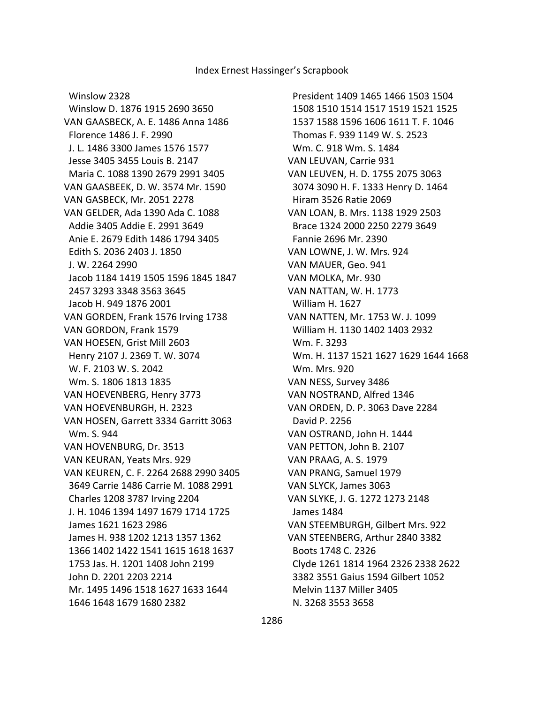Winslow 2328 Winslow D. 1876 1915 2690 3650 VAN GAASBECK, A. E. 1486 Anna 1486 Florence 1486 J. F. 2990 J. L. 1486 3300 James 1576 1577 Jesse 3405 3455 Louis B. 2147 Maria C. 1088 1390 2679 2991 3405 VAN GAASBEEK, D. W. 3574 Mr. 1590 VAN GASBECK, Mr. 2051 2278 VAN GELDER, Ada 1390 Ada C. 1088 Addie 3405 Addie E. 2991 3649 Anie E. 2679 Edith 1486 1794 3405 Edith S. 2036 2403 J. 1850 J. W. 2264 2990 Jacob 1184 1419 1505 1596 1845 1847 2457 3293 3348 3563 3645 Jacob H. 949 1876 2001 VAN GORDEN, Frank 1576 Irving 1738 VAN GORDON, Frank 1579 VAN HOESEN, Grist Mill 2603 Henry 2107 J. 2369 T. W. 3074 W. F. 2103 W. S. 2042 Wm. S. 1806 1813 1835 VAN HOEVENBERG, Henry 3773 VAN HOEVENBURGH, H. 2323 VAN HOSEN, Garrett 3334 Garritt 3063 Wm. S. 944 VAN HOVENBURG, Dr. 3513 VAN KEURAN, Yeats Mrs. 929 VAN KEUREN, C. F. 2264 2688 2990 3405 3649 Carrie 1486 Carrie M. 1088 2991 Charles 1208 3787 Irving 2204 J. H. 1046 1394 1497 1679 1714 1725 James 1621 1623 2986 James H. 938 1202 1213 1357 1362 1366 1402 1422 1541 1615 1618 1637 1753 Jas. H. 1201 1408 John 2199 John D. 2201 2203 2214 Mr. 1495 1496 1518 1627 1633 1644 1646 1648 1679 1680 2382

 President 1409 1465 1466 1503 1504 1508 1510 1514 1517 1519 1521 1525 1537 1588 1596 1606 1611 T. F. 1046 Thomas F. 939 1149 W. S. 2523 Wm. C. 918 Wm. S. 1484 VAN LEUVAN, Carrie 931 VAN LEUVEN, H. D. 1755 2075 3063 3074 3090 H. F. 1333 Henry D. 1464 Hiram 3526 Ratie 2069 VAN LOAN, B. Mrs. 1138 1929 2503 Brace 1324 2000 2250 2279 3649 Fannie 2696 Mr. 2390 VAN LOWNE, J. W. Mrs. 924 VAN MAUER, Geo. 941 VAN MOLKA, Mr. 930 VAN NATTAN, W. H. 1773 William H. 1627 VAN NATTEN, Mr. 1753 W. J. 1099 William H. 1130 1402 1403 2932 Wm. F. 3293 Wm. H. 1137 1521 1627 1629 1644 1668 Wm. Mrs. 920 VAN NESS, Survey 3486 VAN NOSTRAND, Alfred 1346 VAN ORDEN, D. P. 3063 Dave 2284 David P. 2256 VAN OSTRAND, John H. 1444 VAN PETTON, John B. 2107 VAN PRAAG, A. S. 1979 VAN PRANG, Samuel 1979 VAN SLYCK, James 3063 VAN SLYKE, J. G. 1272 1273 2148 James 1484 VAN STEEMBURGH, Gilbert Mrs. 922 VAN STEENBERG, Arthur 2840 3382 Boots 1748 C. 2326 Clyde 1261 1814 1964 2326 2338 2622 3382 3551 Gaius 1594 Gilbert 1052 Melvin 1137 Miller 3405 N. 3268 3553 3658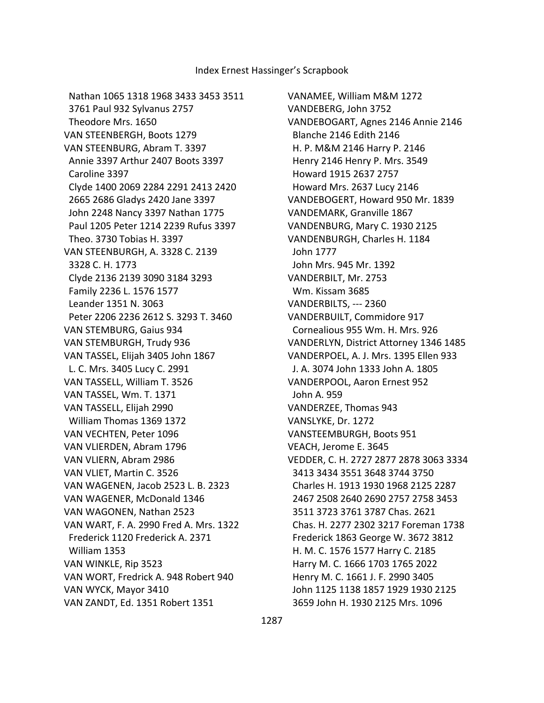Nathan 1065 1318 1968 3433 3453 3511 3761 Paul 932 Sylvanus 2757 Theodore Mrs. 1650 VAN STEENBERGH, Boots 1279 VAN STEENBURG, Abram T. 3397 Annie 3397 Arthur 2407 Boots 3397 Caroline 3397 Clyde 1400 2069 2284 2291 2413 2420 2665 2686 Gladys 2420 Jane 3397 John 2248 Nancy 3397 Nathan 1775 Paul 1205 Peter 1214 2239 Rufus 3397 Theo. 3730 Tobias H. 3397 VAN STEENBURGH, A. 3328 C. 2139 3328 C. H. 1773 Clyde 2136 2139 3090 3184 3293 Family 2236 L. 1576 1577 Leander 1351 N. 3063 Peter 2206 2236 2612 S. 3293 T. 3460 VAN STEMBURG, Gaius 934 VAN STEMBURGH, Trudy 936 VAN TASSEL, Elijah 3405 John 1867 L. C. Mrs. 3405 Lucy C. 2991 VAN TASSELL, William T. 3526 VAN TASSEL, Wm. T. 1371 VAN TASSELL, Elijah 2990 William Thomas 1369 1372 VAN VECHTEN, Peter 1096 VAN VLIERDEN, Abram 1796 VAN VLIERN, Abram 2986 VAN VLIET, Martin C. 3526 VAN WAGENEN, Jacob 2523 L. B. 2323 VAN WAGENER, McDonald 1346 VAN WAGONEN, Nathan 2523 VAN WART, F. A. 2990 Fred A. Mrs. 1322 Frederick 1120 Frederick A. 2371 William 1353 VAN WINKLE, Rip 3523 VAN WORT, Fredrick A. 948 Robert 940 VAN WYCK, Mayor 3410 VAN ZANDT, Ed. 1351 Robert 1351

VANAMEE, William M&M 1272 VANDEBERG, John 3752 VANDEBOGART, Agnes 2146 Annie 2146 Blanche 2146 Edith 2146 H. P. M&M 2146 Harry P. 2146 Henry 2146 Henry P. Mrs. 3549 Howard 1915 2637 2757 Howard Mrs. 2637 Lucy 2146 VANDEBOGERT, Howard 950 Mr. 1839 VANDEMARK, Granville 1867 VANDENBURG, Mary C. 1930 2125 VANDENBURGH, Charles H. 1184 John 1777 John Mrs. 945 Mr. 1392 VANDERBILT, Mr. 2753 Wm. Kissam 3685 VANDERBILTS, --- 2360 VANDERBUILT, Commidore 917 Cornealious 955 Wm. H. Mrs. 926 VANDERLYN, District Attorney 1346 1485 VANDERPOEL, A. J. Mrs. 1395 Ellen 933 J. A. 3074 John 1333 John A. 1805 VANDERPOOL, Aaron Ernest 952 John A. 959 VANDERZEE, Thomas 943 VANSLYKE, Dr. 1272 VANSTEEMBURGH, Boots 951 VEACH, Jerome E. 3645 VEDDER, C. H. 2727 2877 2878 3063 3334 3413 3434 3551 3648 3744 3750 Charles H. 1913 1930 1968 2125 2287 2467 2508 2640 2690 2757 2758 3453 3511 3723 3761 3787 Chas. 2621 Chas. H. 2277 2302 3217 Foreman 1738 Frederick 1863 George W. 3672 3812 H. M. C. 1576 1577 Harry C. 2185 Harry M. C. 1666 1703 1765 2022 Henry M. C. 1661 J. F. 2990 3405 John 1125 1138 1857 1929 1930 2125 3659 John H. 1930 2125 Mrs. 1096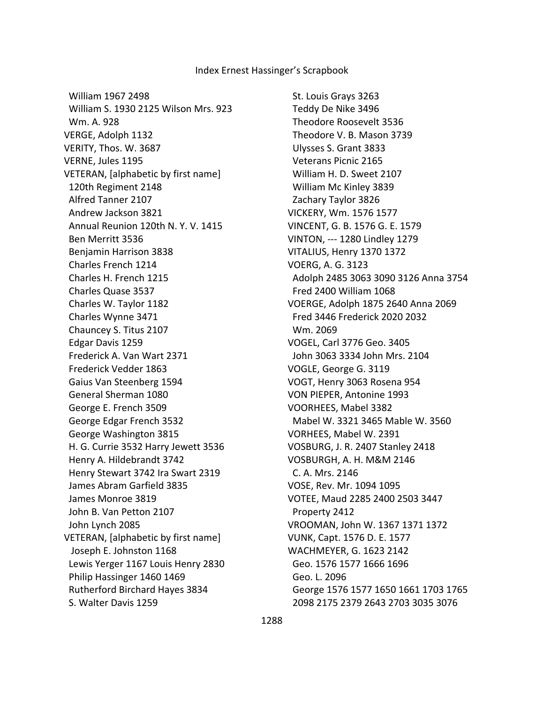William 1967 2498 William S. 1930 2125 Wilson Mrs. 923 Wm. A. 928 VERGE, Adolph 1132 VERITY, Thos. W. 3687 VERNE, Jules 1195 VETERAN, [alphabetic by first name] 120th Regiment 2148 Alfred Tanner 2107 Andrew Jackson 3821 Annual Reunion 120th N. Y. V. 1415 Ben Merritt 3536 Benjamin Harrison 3838 Charles French 1214 Charles H. French 1215 Charles Quase 3537 Charles W. Taylor 1182 Charles Wynne 3471 Chauncey S. Titus 2107 Edgar Davis 1259 Frederick A. Van Wart 2371 Frederick Vedder 1863 Gaius Van Steenberg 1594 General Sherman 1080 George E. French 3509 George Edgar French 3532 George Washington 3815 H. G. Currie 3532 Harry Jewett 3536 Henry A. Hildebrandt 3742 Henry Stewart 3742 Ira Swart 2319 James Abram Garfield 3835 James Monroe 3819 John B. Van Petton 2107 John Lynch 2085 VETERAN, [alphabetic by first name] Joseph E. Johnston 1168 Lewis Yerger 1167 Louis Henry 2830 Philip Hassinger 1460 1469 Rutherford Birchard Hayes 3834 S. Walter Davis 1259

 St. Louis Grays 3263 Teddy De Nike 3496 Theodore Roosevelt 3536 Theodore V. B. Mason 3739 Ulysses S. Grant 3833 Veterans Picnic 2165 William H. D. Sweet 2107 William Mc Kinley 3839 Zachary Taylor 3826 VICKERY, Wm. 1576 1577 VINCENT, G. B. 1576 G. E. 1579 VINTON, --- 1280 Lindley 1279 VITALIUS, Henry 1370 1372 VOERG, A. G. 3123 Adolph 2485 3063 3090 3126 Anna 3754 Fred 2400 William 1068 VOERGE, Adolph 1875 2640 Anna 2069 Fred 3446 Frederick 2020 2032 Wm. 2069 VOGEL, Carl 3776 Geo. 3405 John 3063 3334 John Mrs. 2104 VOGLE, George G. 3119 VOGT, Henry 3063 Rosena 954 VON PIEPER, Antonine 1993 VOORHEES, Mabel 3382 Mabel W. 3321 3465 Mable W. 3560 VORHEES, Mabel W. 2391 VOSBURG, J. R. 2407 Stanley 2418 VOSBURGH, A. H. M&M 2146 C. A. Mrs. 2146 VOSE, Rev. Mr. 1094 1095 VOTEE, Maud 2285 2400 2503 3447 Property 2412 VROOMAN, John W. 1367 1371 1372 VUNK, Capt. 1576 D. E. 1577 WACHMEYER, G. 1623 2142 Geo. 1576 1577 1666 1696 Geo. L. 2096 George 1576 1577 1650 1661 1703 1765 2098 2175 2379 2643 2703 3035 3076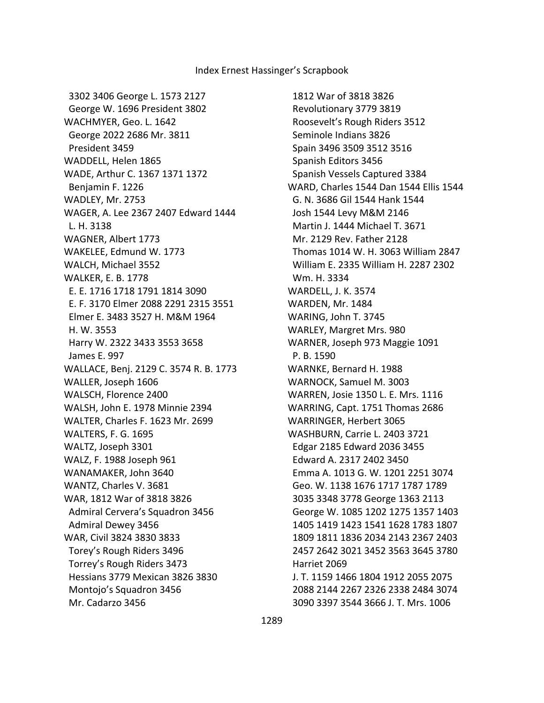3302 3406 George L. 1573 2127 George W. 1696 President 3802 WACHMYER, Geo. L. 1642 George 2022 2686 Mr. 3811 President 3459 WADDELL, Helen 1865 WADE, Arthur C. 1367 1371 1372 Benjamin F. 1226 WADLEY, Mr. 2753 WAGER, A. Lee 2367 2407 Edward 1444 L. H. 3138 WAGNER, Albert 1773 WAKELEE, Edmund W. 1773 WALCH, Michael 3552 WALKER, E. B. 1778 E. E. 1716 1718 1791 1814 3090 E. F. 3170 Elmer 2088 2291 2315 3551 Elmer E. 3483 3527 H. M&M 1964 H. W. 3553 Harry W. 2322 3433 3553 3658 James E. 997 WALLACE, Benj. 2129 C. 3574 R. B. 1773 WALLER, Joseph 1606 WALSCH, Florence 2400 WALSH, John E. 1978 Minnie 2394 WALTER, Charles F. 1623 Mr. 2699 WALTERS, F. G. 1695 WALTZ, Joseph 3301 WALZ, F. 1988 Joseph 961 WANAMAKER, John 3640 WANTZ, Charles V. 3681 WAR, 1812 War of 3818 3826 Admiral Cervera's Squadron 3456 Admiral Dewey 3456 WAR, Civil 3824 3830 3833 Torey's Rough Riders 3496 Torrey's Rough Riders 3473 Hessians 3779 Mexican 3826 3830 Montojo's Squadron 3456 Mr. Cadarzo 3456

 1812 War of 3818 3826 Revolutionary 3779 3819 Roosevelt's Rough Riders 3512 Seminole Indians 3826 Spain 3496 3509 3512 3516 Spanish Editors 3456 Spanish Vessels Captured 3384 WARD, Charles 1544 Dan 1544 Ellis 1544 G. N. 3686 Gil 1544 Hank 1544 Josh 1544 Levy M&M 2146 Martin J. 1444 Michael T. 3671 Mr. 2129 Rev. Father 2128 Thomas 1014 W. H. 3063 William 2847 William E. 2335 William H. 2287 2302 Wm. H. 3334 WARDELL, J. K. 3574 WARDEN, Mr. 1484 WARING, John T. 3745 WARLEY, Margret Mrs. 980 WARNER, Joseph 973 Maggie 1091 P. B. 1590 WARNKE, Bernard H. 1988 WARNOCK, Samuel M. 3003 WARREN, Josie 1350 L. E. Mrs. 1116 WARRING, Capt. 1751 Thomas 2686 WARRINGER, Herbert 3065 WASHBURN, Carrie L. 2403 3721 Edgar 2185 Edward 2036 3455 Edward A. 2317 2402 3450 Emma A. 1013 G. W. 1201 2251 3074 Geo. W. 1138 1676 1717 1787 1789 3035 3348 3778 George 1363 2113 George W. 1085 1202 1275 1357 1403 1405 1419 1423 1541 1628 1783 1807 1809 1811 1836 2034 2143 2367 2403 2457 2642 3021 3452 3563 3645 3780 Harriet 2069 J. T. 1159 1466 1804 1912 2055 2075 2088 2144 2267 2326 2338 2484 3074 3090 3397 3544 3666 J. T. Mrs. 1006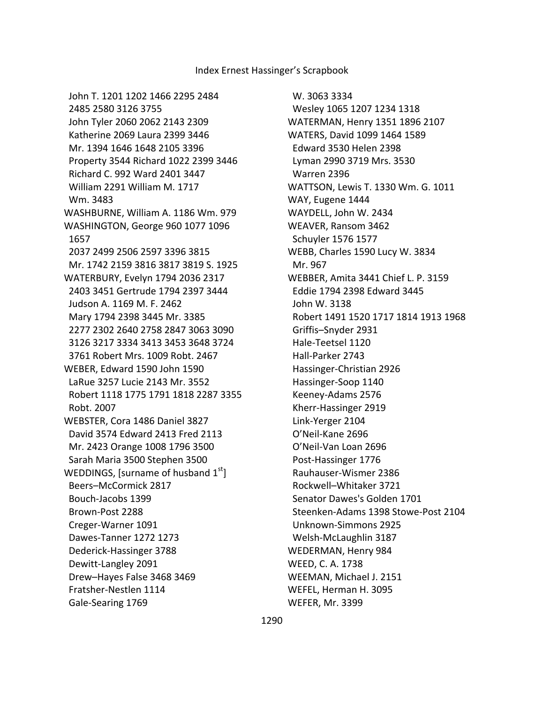W. 3063 3334 Wesley 1065 1207 1234 1318 WATERMAN, Henry 1351 1896 2107 WATERS, David 1099 1464 1589 Edward 3530 Helen 2398 Lyman 2990 3719 Mrs. 3530 Warren 2396 WATTSON, Lewis T. 1330 Wm. G. 1011 WAY, Eugene 1444 WAYDELL, John W. 2434 WEAVER, Ransom 3462 Schuyler 1576 1577 WEBB, Charles 1590 Lucy W. 3834 Mr. 967 WEBBER, Amita 3441 Chief L. P. 3159 Eddie 1794 2398 Edward 3445 John W. 3138 Robert 1491 1520 1717 1814 1913 1968 Griffis–Snyder 2931 Hale-Teetsel 1120 Hall-Parker 2743 Hassinger-Christian 2926 Hassinger-Soop 1140 Keeney-Adams 2576 Kherr-Hassinger 2919 Link-Yerger 2104 O'Neil-Kane 2696 O'Neil-Van Loan 2696 Post-Hassinger 1776 Rauhauser-Wismer 2386 Rockwell–Whitaker 3721 Senator Dawes's Golden 1701 Steenken-Adams 1398 Stowe-Post 2104 Unknown-Simmons 2925 Welsh-McLaughlin 3187 WEDERMAN, Henry 984 WEED, C. A. 1738 WEEMAN, Michael J. 2151 WEFEL, Herman H. 3095 WEFER, Mr. 3399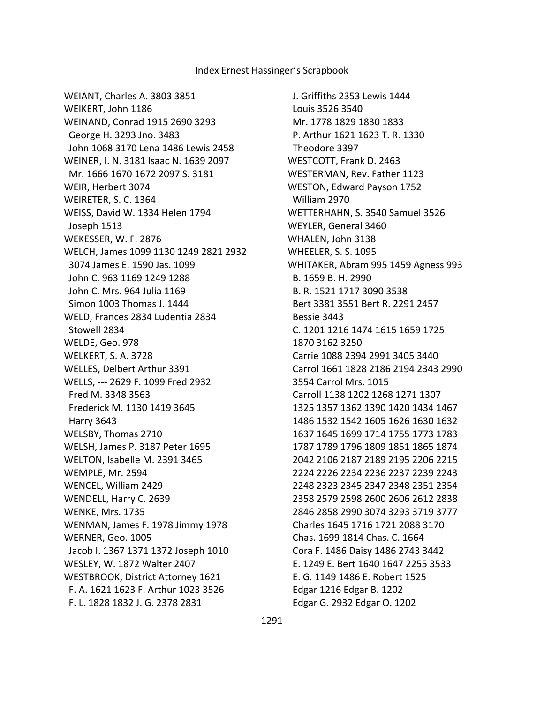WEIANT, Charles A. 3803 3851 WEIKERT, John 1186 WEINAND, Conrad 1915 2690 3293 George H. 3293 Jno. 3483 John 1068 3170 Lena 1486 Lewis 2458 WEINER, I. N. 3181 Isaac N. 1639 2097 Mr. 1666 1670 1672 2097 S. 3181 WEIR, Herbert 3074 WEIRETER, S. C. 1364 WEISS, David W. 1334 Helen 1794 Joseph 1513 WEKESSER, W. F. 2876 WELCH, James 1099 1130 1249 2821 2932 3074 James E. 1590 Jas. 1099 John C. 963 1169 1249 1288 John C. Mrs. 964 Julia 1169 Simon 1003 Thomas J. 1444 WELD, Frances 2834 Ludentia 2834 Stowell 2834 WELDE, Geo. 978 WELKERT, S. A. 3728 WELLES, Delbert Arthur 3391 WELLS, --- 2629 F. 1099 Fred 2932 Fred M. 3348 3563 Frederick M. 1130 1419 3645 Harry 3643 WELSBY, Thomas 2710 WELSH, James P. 3187 Peter 1695 WELTON, Isabelle M. 2391 3465 WEMPLE, Mr. 2594 WENCEL, William 2429 WENDELL, Harry C. 2639 WENKE, Mrs. 1735 WENMAN, James F. 1978 Jimmy 1978 WERNER, Geo. 1005 Jacob I. 1367 1371 1372 Joseph 1010 WESLEY, W. 1872 Walter 2407 WESTBROOK, District Attorney 1621 F. A. 1621 1623 F. Arthur 1023 3526 F. L. 1828 1832 J. G. 2378 2831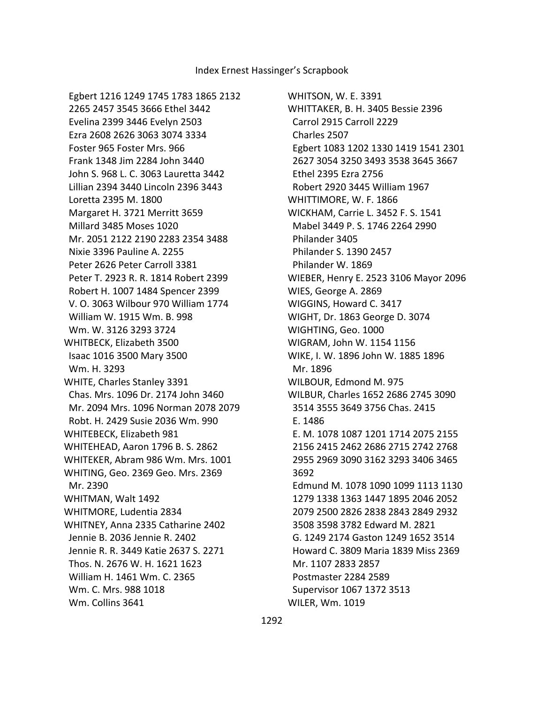Egbert 1216 1249 1745 1783 1865 2132 2265 2457 3545 3666 Ethel 3442 Evelina 2399 3446 Evelyn 2503 Ezra 2608 2626 3063 3074 3334 Foster 965 Foster Mrs. 966 Frank 1348 Jim 2284 John 3440 John S. 968 L. C. 3063 Lauretta 3442 Lillian 2394 3440 Lincoln 2396 3443 Loretta 2395 M. 1800 Margaret H. 3721 Merritt 3659 Millard 3485 Moses 1020 Mr. 2051 2122 2190 2283 2354 3488 Nixie 3396 Pauline A. 2255 Peter 2626 Peter Carroll 3381 Peter T. 2923 R. R. 1814 Robert 2399 Robert H. 1007 1484 Spencer 2399 V. O. 3063 Wilbour 970 William 1774 William W. 1915 Wm. B. 998 Wm. W. 3126 3293 3724 WHITBECK, Elizabeth 3500 Isaac 1016 3500 Mary 3500 Wm. H. 3293 WHITE, Charles Stanley 3391 Chas. Mrs. 1096 Dr. 2174 John 3460 Mr. 2094 Mrs. 1096 Norman 2078 2079 Robt. H. 2429 Susie 2036 Wm. 990 WHITEBECK, Elizabeth 981 WHITEHEAD, Aaron 1796 B. S. 2862 WHITEKER, Abram 986 Wm. Mrs. 1001 WHITING, Geo. 2369 Geo. Mrs. 2369 Mr. 2390 WHITMAN, Walt 1492 WHITMORE, Ludentia 2834 WHITNEY, Anna 2335 Catharine 2402 Jennie B. 2036 Jennie R. 2402 Jennie R. R. 3449 Katie 2637 S. 2271 Thos. N. 2676 W. H. 1621 1623 William H. 1461 Wm. C. 2365 Wm. C. Mrs. 988 1018 Wm. Collins 3641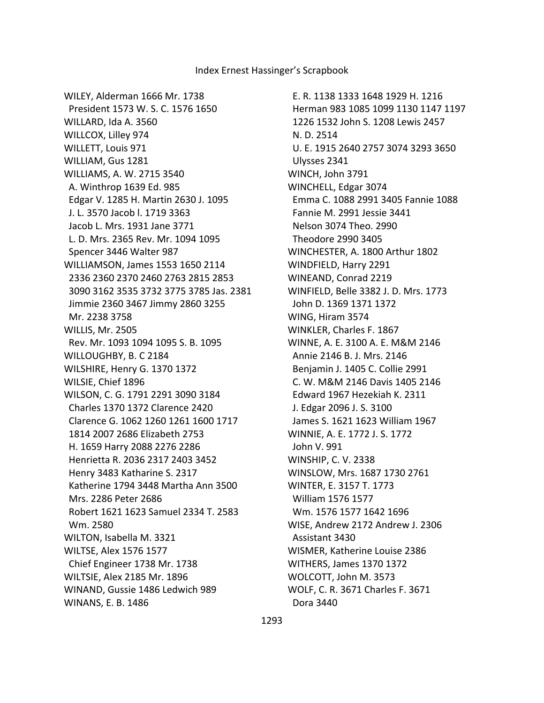WILEY, Alderman 1666 Mr. 1738 President 1573 W. S. C. 1576 1650 WILLARD, Ida A. 3560 WILLCOX, Lilley 974 WILLETT, Louis 971 WILLIAM, Gus 1281 WILLIAMS, A. W. 2715 3540 A. Winthrop 1639 Ed. 985 Edgar V. 1285 H. Martin 2630 J. 1095 J. L. 3570 Jacob l. 1719 3363 Jacob L. Mrs. 1931 Jane 3771 L. D. Mrs. 2365 Rev. Mr. 1094 1095 Spencer 3446 Walter 987 WILLIAMSON, James 1553 1650 2114 2336 2360 2370 2460 2763 2815 2853 3090 3162 3535 3732 3775 3785 Jas. 2381 Jimmie 2360 3467 Jimmy 2860 3255 Mr. 2238 3758 WILLIS, Mr. 2505 Rev. Mr. 1093 1094 1095 S. B. 1095 WILLOUGHBY, B. C 2184 WILSHIRE, Henry G. 1370 1372 WILSIE, Chief 1896 WILSON, C. G. 1791 2291 3090 3184 Charles 1370 1372 Clarence 2420 Clarence G. 1062 1260 1261 1600 1717 1814 2007 2686 Elizabeth 2753 H. 1659 Harry 2088 2276 2286 Henrietta R. 2036 2317 2403 3452 Henry 3483 Katharine S. 2317 Katherine 1794 3448 Martha Ann 3500 Mrs. 2286 Peter 2686 Robert 1621 1623 Samuel 2334 T. 2583 Wm. 2580 WILTON, Isabella M. 3321 WILTSE, Alex 1576 1577 Chief Engineer 1738 Mr. 1738 WILTSIE, Alex 2185 Mr. 1896 WINAND, Gussie 1486 Ledwich 989 WINANS, E. B. 1486

 E. R. 1138 1333 1648 1929 H. 1216 Herman 983 1085 1099 1130 1147 1197 1226 1532 John S. 1208 Lewis 2457 N. D. 2514 U. E. 1915 2640 2757 3074 3293 3650 Ulysses 2341 WINCH, John 3791 WINCHELL, Edgar 3074 Emma C. 1088 2991 3405 Fannie 1088 Fannie M. 2991 Jessie 3441 Nelson 3074 Theo. 2990 Theodore 2990 3405 WINCHESTER, A. 1800 Arthur 1802 WINDFIELD, Harry 2291 WINEAND, Conrad 2219 WINFIELD, Belle 3382 J. D. Mrs. 1773 John D. 1369 1371 1372 WING, Hiram 3574 WINKLER, Charles F. 1867 WINNE, A. E. 3100 A. E. M&M 2146 Annie 2146 B. J. Mrs. 2146 Benjamin J. 1405 C. Collie 2991 C. W. M&M 2146 Davis 1405 2146 Edward 1967 Hezekiah K. 2311 J. Edgar 2096 J. S. 3100 James S. 1621 1623 William 1967 WINNIE, A. E. 1772 J. S. 1772 John V. 991 WINSHIP, C. V. 2338 WINSLOW, Mrs. 1687 1730 2761 WINTER, E. 3157 T. 1773 William 1576 1577 Wm. 1576 1577 1642 1696 WISE, Andrew 2172 Andrew J. 2306 Assistant 3430 WISMER, Katherine Louise 2386 WITHERS, James 1370 1372 WOLCOTT, John M. 3573 WOLF, C. R. 3671 Charles F. 3671 Dora 3440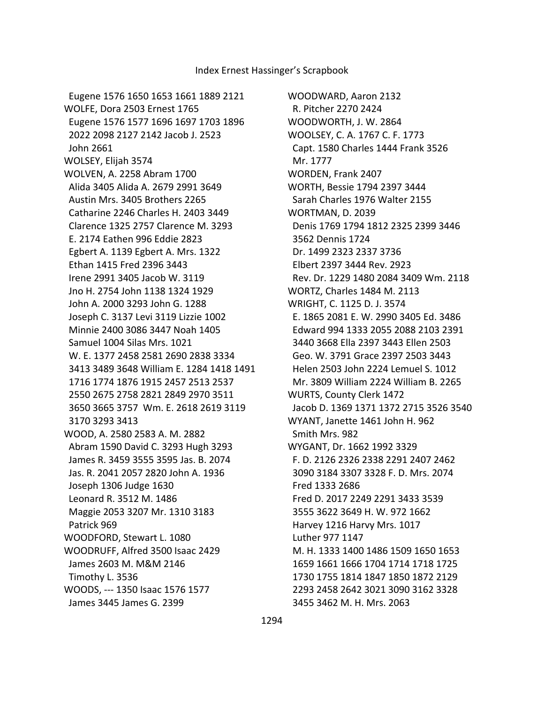Eugene 1576 1650 1653 1661 1889 2121 WOLFE, Dora 2503 Ernest 1765 Eugene 1576 1577 1696 1697 1703 1896 2022 2098 2127 2142 Jacob J. 2523 John 2661 WOLSEY, Elijah 3574 WOLVEN, A. 2258 Abram 1700 Alida 3405 Alida A. 2679 2991 3649 Austin Mrs. 3405 Brothers 2265 Catharine 2246 Charles H. 2403 3449 Clarence 1325 2757 Clarence M. 3293 E. 2174 Eathen 996 Eddie 2823 Egbert A. 1139 Egbert A. Mrs. 1322 Ethan 1415 Fred 2396 3443 Irene 2991 3405 Jacob W. 3119 Jno H. 2754 John 1138 1324 1929 John A. 2000 3293 John G. 1288 Joseph C. 3137 Levi 3119 Lizzie 1002 Minnie 2400 3086 3447 Noah 1405 Samuel 1004 Silas Mrs. 1021 W. E. 1377 2458 2581 2690 2838 3334 3413 3489 3648 William E. 1284 1418 1491 1716 1774 1876 1915 2457 2513 2537 2550 2675 2758 2821 2849 2970 3511 3650 3665 3757 Wm. E. 2618 2619 3119 3170 3293 3413 WOOD, A. 2580 2583 A. M. 2882 Abram 1590 David C. 3293 Hugh 3293 James R. 3459 3555 3595 Jas. B. 2074 Jas. R. 2041 2057 2820 John A. 1936 Joseph 1306 Judge 1630 Leonard R. 3512 M. 1486 Maggie 2053 3207 Mr. 1310 3183 Patrick 969 WOODFORD, Stewart L. 1080 WOODRUFF, Alfred 3500 Isaac 2429 James 2603 M. M&M 2146 Timothy L. 3536 WOODS, --- 1350 Isaac 1576 1577 James 3445 James G. 2399